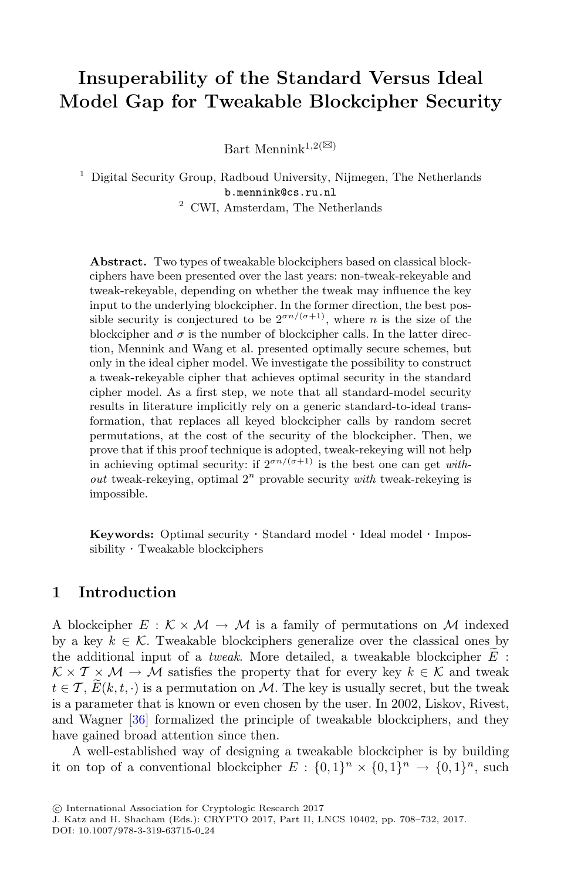# **Insuperability of the Standard Versus Ideal Model Gap for Tweakable Blockcipher Security**

Bart Mennink<sup>1,2( $\boxtimes$ )</sup>

<sup>1</sup> Digital Security Group, Radboud University, Nijmegen, The Netherlands b.mennink@cs.ru.nl <sup>2</sup> CWI, Amsterdam, The Netherlands

**Abstract.** Two types of tweakable blockciphers based on classical block-

ciphers have been presented over the last years: non-tweak-rekeyable and tweak-rekeyable, depending on whether the tweak may influence the key input to the underlying blockcipher. In the former direction, the best possible security is conjectured to be  $2^{\sigma n/(\sigma+1)}$ , where *n* is the size of the blockcipher and  $\sigma$  is the number of blockcipher calls. In the latter direction, Mennink and Wang et al. presented optimally secure schemes, but only in the ideal cipher model. We investigate the possibility to construct a tweak-rekeyable cipher that achieves optimal security in the standard cipher model. As a first step, we note that all standard-model security results in literature implicitly rely on a generic standard-to-ideal transformation, that replaces all keyed blockcipher calls by random secret permutations, at the cost of the security of the blockcipher. Then, we prove that if this proof technique is adopted, tweak-rekeying will not help in achieving optimal security: if  $2^{\sigma n/(\sigma+1)}$  is the best one can get *without* tweak-rekeying, optimal  $2^n$  provable security *with* tweak-rekeying is impossible.

**Keywords:** Optimal security · Standard model · Ideal model · Impossibility · Tweakable blockciphers

# **1 Introduction**

<span id="page-0-0"></span>A blockcipher  $E : \mathcal{K} \times \mathcal{M} \to \mathcal{M}$  is a family of permutations on  $\mathcal{M}$  indexed by a key  $k \in \mathcal{K}$ . Tweakable blockciphers generalize over the classical ones by **1 Introduction**<br>A blockcipher  $E : \mathcal{K} \times \mathcal{M} \to \mathcal{M}$  is a family of permutations on  $\mathcal{M}$  index<br>by a key  $k \in \mathcal{K}$ . Tweakable blockciphers generalize over the classical ones the additional input of a *tweak*. the additional input of a *tweak*. More detailed, a tweakable blockcipher  $E$ :  $K \times T \times M \rightarrow M$  satisfies the property that for every key  $k \in \mathcal{K}$  and tweak A block<br>by a key<br>the addi<br> $K \times T \times$ <br> $t \in T$ ,  $\widetilde{E}$  $t \in \mathcal{T}, E(k, t, \cdot)$  is a permutation on M. The key is usually secret, but the tweak is a parameter that is known or even chosen by the user. In 2002, Liskov, Rivest, and Wagner [\[36\]](#page-22-0) formalized the principle of tweakable blockciphers, and they have gained broad attention since then.

A well-established way of designing a tweakable blockcipher is by building it on top of a conventional blockcipher  $E : \{0,1\}^n \times \{0,1\}^n \rightarrow \{0,1\}^n$ , such

DOI: 10.1007/978-3-319-63715-0 24

<sup>-</sup>c International Association for Cryptologic Research 2017

J. Katz and H. Shacham (Eds.): CRYPTO 2017, Part II, LNCS 10402, pp. 708–732, 2017.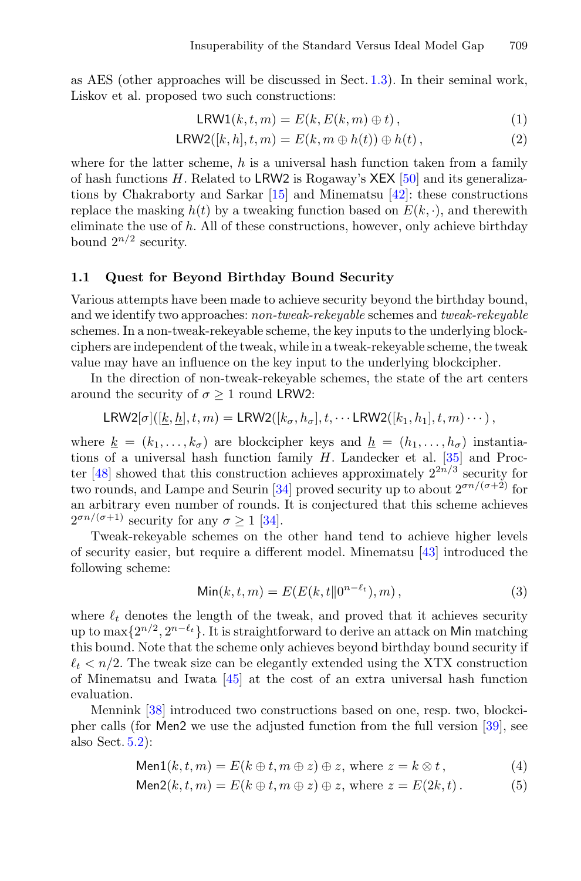as AES (other approaches will be discussed in Sect. [1.3\)](#page-4-0). In their seminal work, Liskov et al. proposed two such constructions:

$$
LRW1(k, t, m) = E(k, E(k, m) \oplus t), \qquad (1)
$$

$$
LRW2([k,h],t,m) = E(k,m \oplus h(t)) \oplus h(t), \qquad (2)
$$

where for the latter scheme,  $h$  is a universal hash function taken from a family of hash functions  $H$ . Related to LRW2 is Rogaway's XEX [\[50\]](#page-23-0) and its generalizations by Chakraborty and Sarkar [\[15\]](#page-21-0) and Minematsu [\[42\]](#page-23-1): these constructions replace the masking  $h(t)$  by a tweaking function based on  $E(k, \cdot)$ , and therewith eliminate the use of  $h$ . All of these constructions, however, only achieve birthday bound  $2^{n/2}$  security.

#### **1.1 Quest for Beyond Birthday Bound Security**

Various attempts have been made to achieve security beyond the birthday bound, and we identify two approaches: *non-tweak-rekeyable* schemes and *tweak-rekeyable* schemes. In a non-tweak-rekeyable scheme, the key inputs to the underlying blockciphers are independent of the tweak, while in a tweak-rekeyable scheme, the tweak value may have an influence on the key input to the underlying blockcipher.

In the direction of non-tweak-rekeyable schemes, the state of the art centers around the security of  $\sigma > 1$  round LRW2:

$$
\mathsf{LRW2}[\sigma]([k,\underline{h}],t,m)=\mathsf{LRW2}([k_\sigma,h_\sigma],t,\cdots \mathsf{LRW2}([k_1,h_1],t,m)\cdots),
$$

where  $k = (k_1, \ldots, k_\sigma)$  are blockcipher keys and  $h = (h_1, \ldots, h_\sigma)$  instantiations of a universal hash function family H. Landecker et al. [\[35\]](#page-22-1) and Proc-ter [\[48\]](#page-23-2) showed that this construction achieves approximately  $2^{2n/3}$  security for two rounds, and Lampe and Seurin [\[34\]](#page-22-2) proved security up to about  $2^{\sigma n/(\sigma+2)}$  for an arbitrary even number of rounds. It is conjectured that this scheme achieves  $2^{\sigma n/(\sigma+1)}$  security for any  $\sigma > 1$  [\[34](#page-22-2)].

Tweak-rekeyable schemes on the other hand tend to achieve higher levels of security easier, but require a different model. Minematsu [\[43](#page-23-3)] introduced the following scheme:

<span id="page-1-0"></span>
$$
\text{Min}(k, t, m) = E(E(k, t \| 0^{n - \ell_t}), m), \tag{3}
$$

where  $\ell_t$  denotes the length of the tweak, and proved that it achieves security up to max $\{2^{n/2}, 2^{n-\ell_t}\}\.$  It is straightforward to derive an attack on Min matching this bound. Note that the scheme only achieves beyond birthday bound security if  $\ell_t$  <  $n/2$ . The tweak size can be elegantly extended using the XTX construction of Minematsu and Iwata [\[45](#page-23-4)] at the cost of an extra universal hash function evaluation.

Mennink [\[38\]](#page-22-3) introduced two constructions based on one, resp. two, blockcipher calls (for Men2 we use the adjusted function from the full version [\[39\]](#page-22-4), see also Sect. [5.2\)](#page-11-0):

$$
\text{Men1}(k, t, m) = E(k \oplus t, m \oplus z) \oplus z, \text{ where } z = k \otimes t,
$$
\n<sup>(4)</sup>

$$
\text{Men2}(k, t, m) = E(k \oplus t, m \oplus z) \oplus z, \text{ where } z = E(2k, t). \tag{5}
$$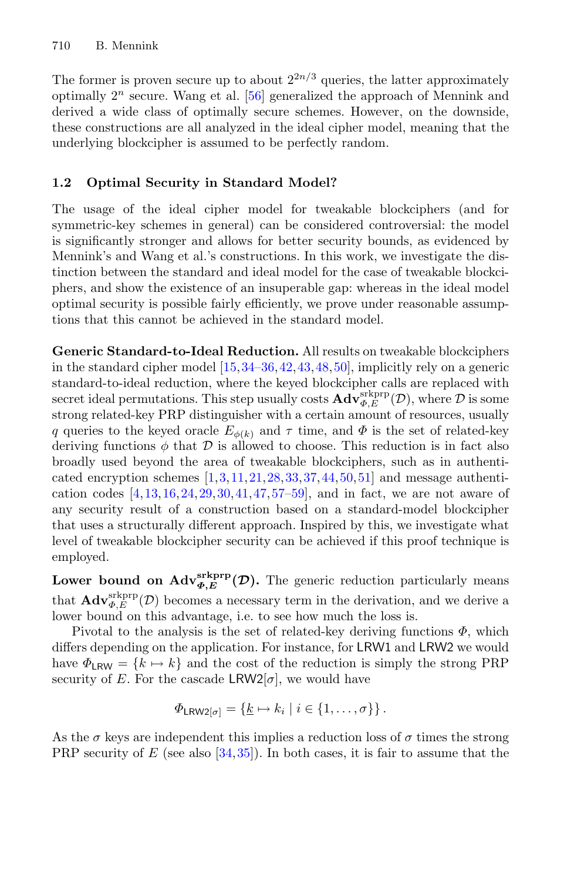The former is proven secure up to about  $2^{2n/3}$  queries, the latter approximately optimally  $2^n$  secure. Wang et al. [\[56\]](#page-23-5) generalized the approach of Mennink and derived a wide class of optimally secure schemes. However, on the downside, these constructions are all analyzed in the ideal cipher model, meaning that the underlying blockcipher is assumed to be perfectly random.

# **1.2 Optimal Security in Standard Model?**

The usage of the ideal cipher model for tweakable blockciphers (and for symmetric-key schemes in general) can be considered controversial: the model is significantly stronger and allows for better security bounds, as evidenced by Mennink's and Wang et al.'s constructions. In this work, we investigate the distinction between the standard and ideal model for the case of tweakable blockciphers, and show the existence of an insuperable gap: whereas in the ideal model optimal security is possible fairly efficiently, we prove under reasonable assumptions that this cannot be achieved in the standard model.

**Generic Standard-to-Ideal Reduction.** All results on tweakable blockciphers in the standard cipher model [\[15,](#page-21-0)[34](#page-22-2)[–36](#page-22-0)[,42](#page-23-1)[,43](#page-23-3),[48,](#page-23-2)[50\]](#page-23-0), implicitly rely on a generic standard-to-ideal reduction, where the keyed blockcipher calls are replaced with secret ideal permutations. This step usually costs  $\mathbf{Adv}_{\Phi,E}^{\text{skprp}}(\mathcal{D})$ , where  $\mathcal D$  is some strong related-key PRP distinguisher with a certain amount of resources, usually q queries to the keyed oracle  $E_{\phi(k)}$  and  $\tau$  time, and  $\Phi$  is the set of related-key deriving functions  $\phi$  that  $\mathcal D$  is allowed to choose. This reduction is in fact also broadly used beyond the area of tweakable blockciphers, such as in authenticated encryption schemes  $[1,3,11,21,28,33,37,44,50,51]$  $[1,3,11,21,28,33,37,44,50,51]$  $[1,3,11,21,28,33,37,44,50,51]$  $[1,3,11,21,28,33,37,44,50,51]$  $[1,3,11,21,28,33,37,44,50,51]$  $[1,3,11,21,28,33,37,44,50,51]$  $[1,3,11,21,28,33,37,44,50,51]$  $[1,3,11,21,28,33,37,44,50,51]$  $[1,3,11,21,28,33,37,44,50,51]$  $[1,3,11,21,28,33,37,44,50,51]$  $[1,3,11,21,28,33,37,44,50,51]$  $[1,3,11,21,28,33,37,44,50,51]$  and message authentication codes  $[4,13,16,24,29,30,41,47,57–59]$  $[4,13,16,24,29,30,41,47,57–59]$  $[4,13,16,24,29,30,41,47,57–59]$  $[4,13,16,24,29,30,41,47,57–59]$  $[4,13,16,24,29,30,41,47,57–59]$  $[4,13,16,24,29,30,41,47,57–59]$  $[4,13,16,24,29,30,41,47,57–59]$  $[4,13,16,24,29,30,41,47,57–59]$  $[4,13,16,24,29,30,41,47,57–59]$  $[4,13,16,24,29,30,41,47,57–59]$  $[4,13,16,24,29,30,41,47,57–59]$  $[4,13,16,24,29,30,41,47,57–59]$  $[4,13,16,24,29,30,41,47,57–59]$ , and in fact, we are not aware of any security result of a construction based on a standard-model blockcipher that uses a structurally different approach. Inspired by this, we investigate what level of tweakable blockcipher security can be achieved if this proof technique is employed.

**Lower bound on**  $\mathrm{Adv}_{\Phi,E}^{\mathrm{srkprp}}(\mathcal{D})$ **. The generic reduction particularly means** that  $\mathbf{Adv}_{\Phi,E}^{\text{stkprp}}(\mathcal{D})$  becomes a necessary term in the derivation, and we derive a lower bound on this advantage, i.e. to see how much the loss is.

Pivotal to the analysis is the set of related-key deriving functions  $\Phi$ , which differs depending on the application. For instance, for LRW1 and LRW2 we would have  $\Phi_{LRW} = \{k \mapsto k\}$  and the cost of the reduction is simply the strong PRP security of E. For the cascade LRW2[ $\sigma$ ], we would have

$$
\Phi_{LRW2[\sigma]} = \{ \underline{k} \mapsto k_i \mid i \in \{1, \ldots, \sigma\} \}.
$$

As the  $\sigma$  keys are independent this implies a reduction loss of  $\sigma$  times the strong PRP security of  $E$  (see also [\[34](#page-22-2)[,35](#page-22-1)]). In both cases, it is fair to assume that the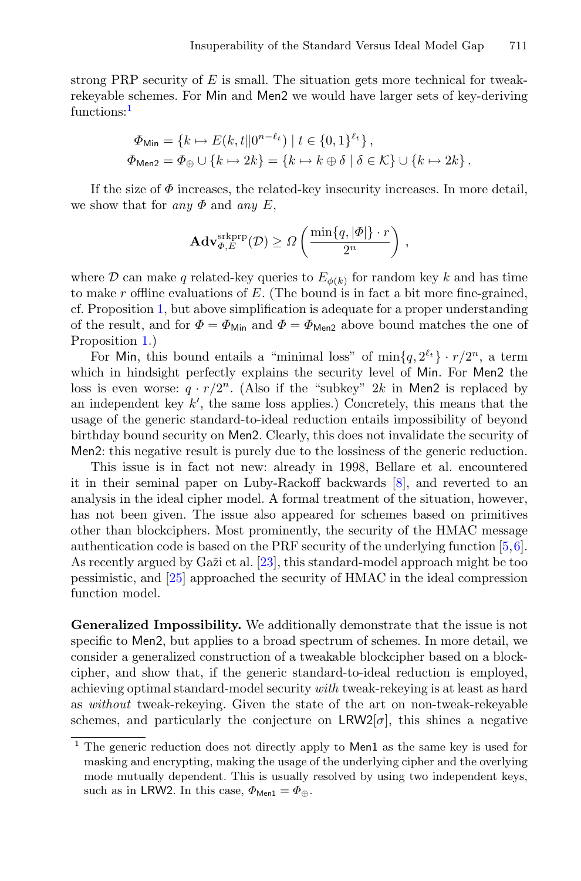strong PRP security of  $E$  is small. The situation gets more technical for tweakrekeyable schemes. For Min and Men2 we would have larger sets of key-deriving functions:<sup>[1](#page-3-0)</sup>

$$
\Phi_{\text{Min}} = \{k \mapsto E(k, t \| 0^{n-\ell_t}) \mid t \in \{0, 1\}^{\ell_t}\},
$$
  

$$
\Phi_{\text{Mean2}} = \Phi_{\oplus} \cup \{k \mapsto 2k\} = \{k \mapsto k \oplus \delta \mid \delta \in \mathcal{K}\} \cup \{k \mapsto 2k\}.
$$

If the size of  $\Phi$  increases, the related-key insecurity increases. In more detail, we show that for *any*  $\Phi$  and *any* E,

$$
\mathbf{Adv}_{\varPhi,E}^{\mathrm{skprp}}(\mathcal{D}) \geq \varOmega\left(\frac{\min\{q,|\varPhi|\}\cdot r}{2^n}\right)\,,
$$

where D can make q related-key queries to  $E_{\phi(k)}$  for random key k and has time to make  $r$  offline evaluations of  $E$ . (The bound is in fact a bit more fine-grained, cf. Proposition [1,](#page-8-0) but above simplification is adequate for a proper understanding of the result, and for  $\Phi = \Phi_{\text{Min}}$  and  $\Phi = \Phi_{\text{Men2}}$  above bound matches the one of Proposition [1.](#page-8-0))

For Min, this bound entails a "minimal loss" of  $\min\{q, 2^{\ell_t}\}\cdot r/2^n$ , a term which in hindsight perfectly explains the security level of Min. For Men2 the loss is even worse:  $q \cdot r/2^n$ . (Also if the "subkey" 2k in Men2 is replaced by an independent key  $k'$ , the same loss applies.) Concretely, this means that the usage of the generic standard-to-ideal reduction entails impossibility of beyond birthday bound security on Men2. Clearly, this does not invalidate the security of Men2: this negative result is purely due to the lossiness of the generic reduction.

This issue is in fact not new: already in 1998, Bellare et al. encountered it in their seminal paper on Luby-Rackoff backwards [\[8\]](#page-20-3), and reverted to an analysis in the ideal cipher model. A formal treatment of the situation, however, has not been given. The issue also appeared for schemes based on primitives other than blockciphers. Most prominently, the security of the HMAC message authentication code is based on the PRF security of the underlying function [\[5](#page-20-4),[6\]](#page-20-5). As recently argued by Ga $\check{z}$ i et al. [\[23\]](#page-21-6), this standard-model approach might be too pessimistic, and [\[25](#page-22-10)] approached the security of HMAC in the ideal compression function model.

**Generalized Impossibility.** We additionally demonstrate that the issue is not specific to Men2, but applies to a broad spectrum of schemes. In more detail, we consider a generalized construction of a tweakable blockcipher based on a blockcipher, and show that, if the generic standard-to-ideal reduction is employed, achieving optimal standard-model security *with* tweak-rekeying is at least as hard as *without* tweak-rekeying. Given the state of the art on non-tweak-rekeyable schemes, and particularly the conjecture on  $LRW2[\sigma]$ , this shines a negative

<span id="page-3-0"></span> $\frac{1}{1}$  The generic reduction does not directly apply to Men1 as the same key is used for masking and encrypting, making the usage of the underlying cipher and the overlying mode mutually dependent. This is usually resolved by using two independent keys, such as in LRW2. In this case,  $\Phi_{\text{Men1}} = \Phi_{\oplus}$ .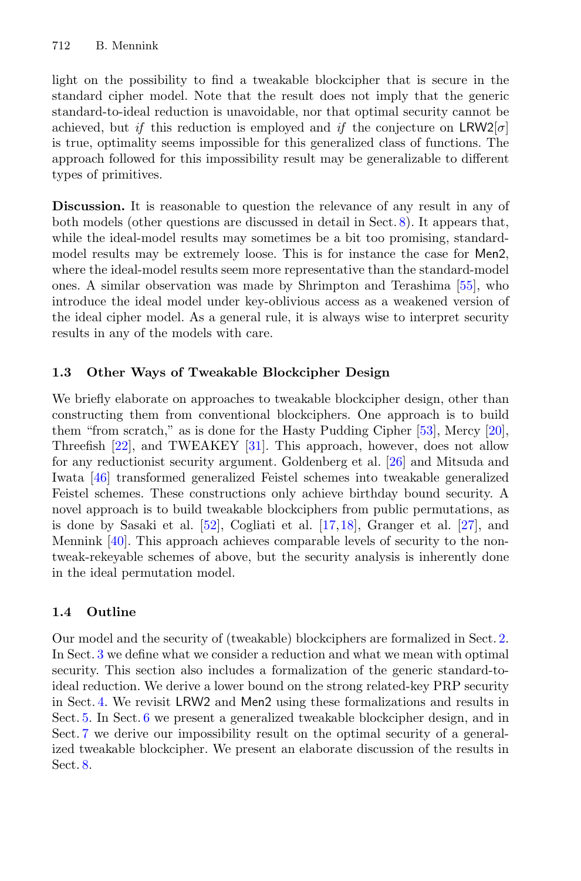light on the possibility to find a tweakable blockcipher that is secure in the standard cipher model. Note that the result does not imply that the generic standard-to-ideal reduction is unavoidable, nor that optimal security cannot be achieved, but *if* this reduction is employed and *if* the conjecture on  $LRW2[\sigma]$ is true, optimality seems impossible for this generalized class of functions. The approach followed for this impossibility result may be generalizable to different types of primitives.

**Discussion.** It is reasonable to question the relevance of any result in any of both models (other questions are discussed in detail in Sect. [8\)](#page-19-0). It appears that, while the ideal-model results may sometimes be a bit too promising, standardmodel results may be extremely loose. This is for instance the case for Men2, where the ideal-model results seem more representative than the standard-model ones. A similar observation was made by Shrimpton and Terashima [\[55\]](#page-23-10), who introduce the ideal model under key-oblivious access as a weakened version of the ideal cipher model. As a general rule, it is always wise to interpret security results in any of the models with care.

# <span id="page-4-0"></span>**1.3 Other Ways of Tweakable Blockcipher Design**

We briefly elaborate on approaches to tweakable blockcipher design, other than constructing them from conventional blockciphers. One approach is to build them "from scratch," as is done for the Hasty Pudding Cipher  $[53]$ , Mercy  $[20]$ , Threefish [\[22\]](#page-21-8), and TWEAKEY [\[31](#page-22-11)]. This approach, however, does not allow for any reductionist security argument. Goldenberg et al. [\[26\]](#page-22-12) and Mitsuda and Iwata [\[46\]](#page-23-12) transformed generalized Feistel schemes into tweakable generalized Feistel schemes. These constructions only achieve birthday bound security. A novel approach is to build tweakable blockciphers from public permutations, as is done by Sasaki et al.  $[52]$  $[52]$ , Cogliati et al.  $[17,18]$  $[17,18]$  $[17,18]$ , Granger et al.  $[27]$ , and Mennink [\[40\]](#page-23-14). This approach achieves comparable levels of security to the nontweak-rekeyable schemes of above, but the security analysis is inherently done in the ideal permutation model.

# **1.4 Outline**

Our model and the security of (tweakable) blockciphers are formalized in Sect. [2.](#page-5-0) In Sect. [3](#page-6-0) we define what we consider a reduction and what we mean with optimal security. This section also includes a formalization of the generic standard-toideal reduction. We derive a lower bound on the strong related-key PRP security in Sect. [4.](#page-8-1) We revisit LRW2 and Men2 using these formalizations and results in Sect. [5.](#page-10-0) In Sect. [6](#page-13-0) we present a generalized tweakable blockcipher design, and in Sect. [7](#page-15-0) we derive our impossibility result on the optimal security of a generalized tweakable blockcipher. We present an elaborate discussion of the results in Sect. [8.](#page-19-0)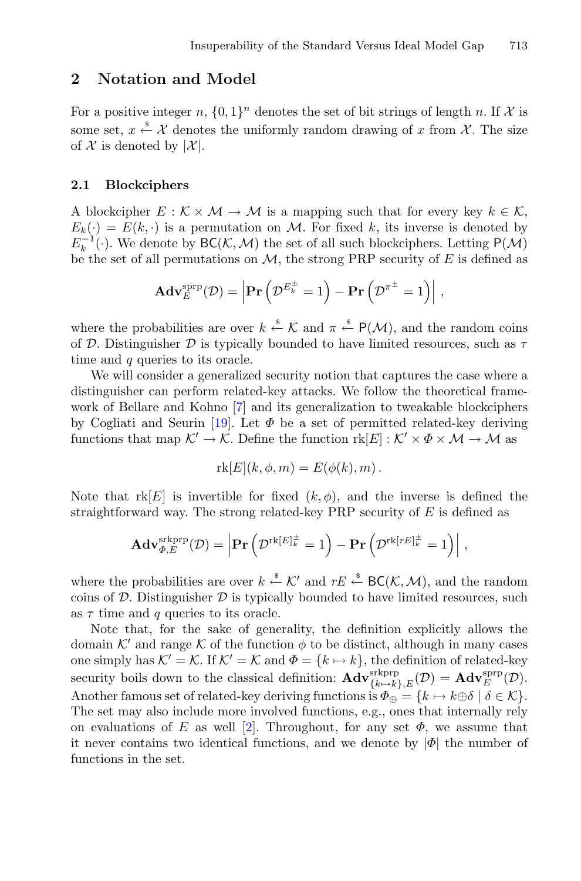### <span id="page-5-0"></span>**2 Notation and Model**

For a positive integer n,  $\{0,1\}^n$  denotes the set of bit strings of length n. If X is some set,  $x \stackrel{\$}{\leftarrow} \mathcal{X}$  denotes the uniformly random drawing of x from  $\mathcal{X}$ . The size of  $\mathcal X$  is denoted by  $|\mathcal X|$ .

#### <span id="page-5-1"></span>**2.1 Blockciphers**

A blockcipher  $E : \mathcal{K} \times \mathcal{M} \to \mathcal{M}$  is a mapping such that for every key  $k \in \mathcal{K}$ ,  $E_k(\cdot) = E(k, \cdot)$  is a permutation on M. For fixed k, its inverse is denoted by  $E_k^{-1}(\cdot)$ . We denote by  $BC(K, \mathcal{M})$  the set of all such blockciphers. Letting  $P(\mathcal{M})$ be the set of all permutations on  $\mathcal{M}$ , the strong PRP security of E is defined as *M* is a mapping such that for e<br>
ion on *M*. For fixed *k*, its invers<br> *A*) the set of all such blockciphers<br>
on *M*, the strong PRP security o<br> **Pr**  $(\mathcal{D}^{E_k^{\pm}} = 1) - \textbf{Pr}(\mathcal{D}^{\pi^{\pm}} = 1)$ 

$$
\mathbf{Adv}_{E}^{\text{sprp}}(\mathcal{D}) = \left| \mathbf{Pr}\left( \mathcal{D}^{E_{k}^{\pm}} = 1 \right) - \mathbf{Pr}\left( \mathcal{D}^{\pi^{\pm}} = 1 \right) \right|,
$$

where the probabilities are over  $k \stackrel{s}{\leftarrow} \mathcal{K}$  and  $\pi \stackrel{s}{\leftarrow} P(\mathcal{M})$ , and the random coins of D. Distinguisher D is typically bounded to have limited resources, such as  $\tau$ time and q queries to its oracle.

We will consider a generalized security notion that captures the case where a distinguisher can perform related-key attacks. We follow the theoretical framework of Bellare and Kohno [\[7\]](#page-20-6) and its generalization to tweakable blockciphers by Cogliati and Seurin [\[19](#page-21-11)]. Let  $\Phi$  be a set of permitted related-key deriving functions that map  $\mathcal{K}' \to \mathcal{K}$ . Define the function  $rk[E]: \mathcal{K}' \times \Phi \times \mathcal{M} \to \mathcal{M}$  as

$$
\mathrm{rk}[E](k,\phi,m) = E(\phi(k),m) \, .
$$

Note that  $rk[E]$  is invertible for fixed  $(k, \phi)$ , and the inverse is defined the straightforward way. The strong related-key PRP security of  $E$  is defined as  $[E](k, \phi, m) = E(\phi(k), m)$ .<br>
le for fixed  $(k, \phi)$ , and the inverse is<br>
rong related-key PRP security of *E* is d<br> **Pr**  $(\mathcal{D}^{\text{rk}[E]_k^{\pm}} = 1) - \text{Pr} (\mathcal{D}^{\text{rk}[rE]_k^{\pm}} = 1)$ 

$$
\mathbf{Adv}_{\varPhi,E}^{\mathrm{skprp}}(\mathcal{D}) = \left| \mathbf{Pr}\left(\mathcal{D}^{\mathrm{rk}[E]_k^\pm} = 1\right) - \mathbf{Pr}\left(\mathcal{D}^{\mathrm{rk}[rE]_k^\pm} = 1\right) \right|,
$$

where the probabilities are over  $k \stackrel{s}{\leftarrow} \mathcal{K}'$  and  $rE \stackrel{s}{\leftarrow} \mathsf{BC}(\mathcal{K}, \mathcal{M})$ , and the random coins of  $D$ . Distinguisher  $D$  is typically bounded to have limited resources, such as  $\tau$  time and q queries to its oracle.

Note that, for the sake of generality, the definition explicitly allows the domain K' and range K of the function  $\phi$  to be distinct, although in many cases one simply has  $K' = K$ . If  $K' = K$  and  $\Phi = \{k \mapsto k\}$ , the definition of related-key security boils down to the classical definition:  $\mathbf{Adv}_{\{k\rightarrow k\},E}^{\text{skprp}}(\mathcal{D}) = \mathbf{Adv}_{E}^{\text{srpp}}(\mathcal{D}).$ Another famous set of related-key deriving functions is  $\Phi_{\oplus} = \{k \mapsto k \oplus \delta \mid \delta \in \mathcal{K}\}.$ The set may also include more involved functions, e.g., ones that internally rely on evaluations of E as well [\[2\]](#page-20-7). Throughout, for any set  $\Phi$ , we assume that it never contains two identical functions, and we denote by  $|\Phi|$  the number of functions in the set.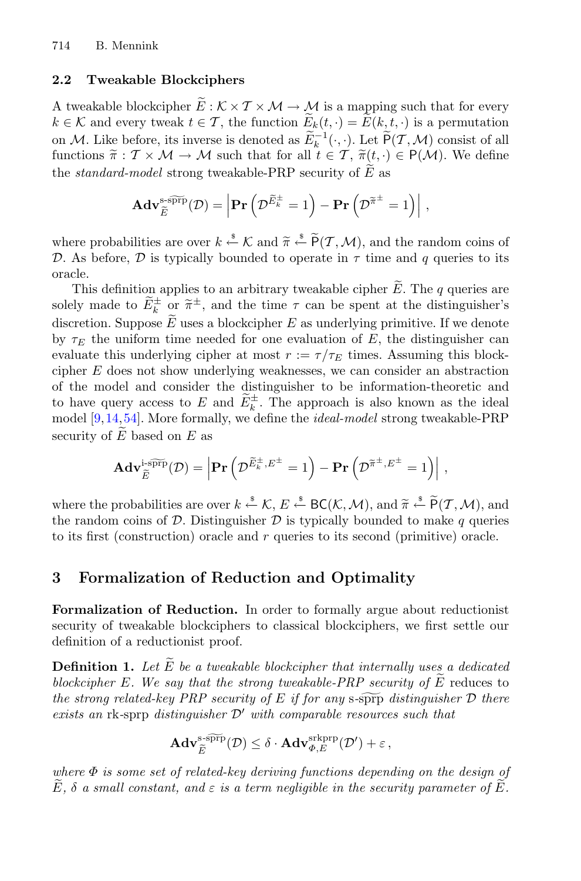### **2.2 Tweakable Blockciphers**

2.2 Tweakable Blockciphers<br>
A tweakable blockcipher  $\widetilde{E}: K \times T \times M \to M$  is a mapping such that for every 714 B. Mennink<br> **2.2 Tweakable Blockciphers**<br>
A tweakable blockcipher  $\widetilde{E}: \mathcal{K} \times \mathcal{T} \times \mathcal{M} \to \mathcal{M}$  is a map<br>  $k \in \mathcal{K}$  and every tweak  $t \in \mathcal{T}$ , the function  $\widetilde{E}_k(t, \cdot) = E$ the function  $\widetilde{E}_k(t, \cdot) = \widetilde{E}(k, t, \cdot)$  is a permutation **2.2 Tweakable Blockciphers**<br>A tweakable blockcipher  $\widetilde{E}: \mathcal{K} \times \mathcal{T} \times \mathcal{M} \to \mathcal{M}$  is a mapping such that for every<br> $k \in \mathcal{K}$  and every tweak  $t \in \mathcal{T}$ , the function  $\widetilde{E}_k(t, \cdot) = E(k, t, \cdot)$  is a permutation<br> **EXECUTE:** Tweakable Blockciphers<br>
A tweakable blockcipher  $\widetilde{E}: \mathcal{K} \times \mathcal{T} \times \mathcal{M} \to \mathcal{M}$  is a mapping such that for every<br>  $k \in \mathcal{K}$  and every tweak  $t \in \mathcal{T}$ , the function  $\widetilde{E}_k(t, \cdot) = \widetilde{E}(k, t, \cdot)$  is a A tweakable blockcipher  $\widetilde{E}: \mathcal{K} \times \mathcal{T} \times \mathcal{M} \to \mathcal{M}$  is a map  $k \in \mathcal{K}$  and every tweak  $t \in \mathcal{T}$ , the function  $\widetilde{E}_k(t, \cdot) = \widetilde{E}$ <br>on  $\mathcal{M}$ . Like before, its inverse is denoted as  $\widetilde{E}_k^{-1}(\cdot, \cdot)$ .  $E$  as the function  $\widetilde{E}_k(t, \cdot) = \widetilde{E}(k, t, \cdot)$  is<br>
s denoted as  $\widetilde{E}_k^{-1}(\cdot, \cdot)$ . Let  $\widetilde{P}(T, \Lambda)$ <br>
ch that for all  $t \in T$ ,  $\widetilde{\pi}(t, \cdot) \in P$ <br>
(kable-PRP security of  $\widetilde{E}$  as<br> **Pr**  $(\mathcal{D}^{\widetilde{E}_k^{\pm}} = 1) - \textbf{Pr}(\mathcal$ 

functions 
$$
\pi : T \times M \to M
$$
 such that for all  $t \in T$ ,  $\pi(t, \cdot) \in P(M)$ . We define  
the *standard-model* strong tweakable-PRP security of  $\tilde{E}$  as  

$$
\mathbf{Adv}_{\tilde{E}}^{\text{ssppp}}(\mathcal{D}) = \left| \mathbf{Pr} \left( \mathcal{D}^{\tilde{E}^{\pm}} = 1 \right) - \mathbf{Pr} \left( \mathcal{D}^{\tilde{\pi}^{\pm}} = 1 \right) \right|,
$$
where probabilities are over  $k \stackrel{\text{s}}{\leftarrow} K$  and  $\tilde{\pi} \stackrel{\text{s}}{\leftarrow} \tilde{P}(T, \mathcal{M})$ , and the random coins of

D. As before, D is typically bounded to operate in  $\tau$  time and q queries to its oracle. The periodicities are over  $k \stackrel{s}{\leftarrow} \mathcal{K}$  and  $\widetilde{\pi} \stackrel{s}{\leftarrow} \widetilde{P}(T, \mathcal{M})$ , and the random coins of As before,  $\mathcal{D}$  is typically bounded to operate in  $\tau$  time and  $q$  queries to its cle.<br>This definition app where probabilities are over  $k \stackrel{s}{\leftarrow} \mathcal{K}$  and  $\widetilde{\pi} \stackrel{s}{\leftarrow} \widetilde{P}(\mathcal{T}, \mathcal{M})$ , and the random coins of <br>  $\mathcal{D}$ . As before,  $\mathcal{D}$  is typically bounded to operate in  $\tau$  time and  $q$  queries to its<br>
oracle

where probabilities and<br>  $D$ . As before,  $D$  is ty<br>
oracle.<br>
This definition app<br>
solely made to  $\widetilde{E}_k^{\pm}$  or<br>
discretion. Suppose  $\widetilde{E}$ discretion. Suppose  $\tilde{E}$  uses a blockcipher E as underlying primitive. If we denote by  $\tau_F$  the uniform time needed for one evaluation of E, the distinguisher can evaluate this underlying cipher at most  $r := \tau/\tau_E$  times. Assuming this blockcipher E does not show underlying weaknesses, we can consider an abstraction of the model and consider the distinguisher to be information-theoretic and discretion. Suppose *E* uses a blockcipher *E* as underlying primitive. If we denote<br>by  $\tau_E$  the uniform time needed for one evaluation of *E*, the distinguisher can<br>evaluate this underlying cipher at most  $r := \tau/\tau_E$  time model [\[9](#page-21-12),[14,](#page-21-13)[54\]](#page-23-15). More formally, we define the *ideal-model* strong tweakable-PRP<br>security of  $\widetilde{E}$  based on  $E$  as<br> $\mathbf{Adv}_{\widetilde{E}}^{i\text{-s}\widetilde{\text{PFP}}}(\mathcal{D}) = \left| \mathbf{Pr}\left( \mathcal{D}^{\widetilde{E}^\pm, E^\pm} = 1 \right) - \mathbf{Pr}\left( \mathcal{D}^{\widetilde{\pi}^\pm, E$ evaluate this<br>cipher E doe<br>of the mode<br>to have quer<br>model [9,14,!<br>security of  $\widetilde{E}$  $E$  based on  $E$  as l, the distinguisher to be information-th<br>
and  $\widetilde{E}_k^{\pm}$ . The approach is also known<br>
ally, we define the *ideal-model* strong twe<br>  $P$ **Pr**  $(\mathcal{D}^{\widetilde{E}_k^{\pm}, E^{\pm}} = 1) - P$ **r**  $(\mathcal{D}^{\widetilde{\pi}^{\pm}, E^{\pm}} = 1)|$ 

model [9, 14, 54]. More formally, we define the *ideal-model* strong tweakable-PRP  
security of 
$$
\tilde{E}
$$
 based on E as  

$$
\mathbf{Adv}_{\tilde{E}}^{i\text{-spfp}}(\mathcal{D}) = \left| \mathbf{Pr}\left(\mathcal{D}^{\tilde{E}_{k}^{+}, E^{\pm}} = 1\right) - \mathbf{Pr}\left(\mathcal{D}^{\tilde{\pi}^{\pm}, E^{\pm}} = 1\right) \right|,
$$
where the probabilities are over  $k \stackrel{\text{s}}{\leftarrow} \mathcal{K}, E \stackrel{\text{s}}{\leftarrow} \text{BC}(\mathcal{K}, \mathcal{M})$ , and  $\tilde{\pi} \stackrel{\text{s}}{\leftarrow} \tilde{P}(T, \mathcal{M})$ , and

the random coins of  $D$ . Distinguisher  $D$  is typically bounded to make q queries to its first (construction) oracle and  $r$  queries to its second (primitive) oracle.

# <span id="page-6-0"></span>**3 Formalization of Reduction and Optimality**

**Formalization of Reduction.** In order to formally argue about reductionist security of tweakable blockciphers to classical blockciphers, we first settle our definition of a reductionist proof. **Formalization of Reduction.** In order to formally argue about reductionist security of tweakable blockciphers to classical blockciphers, we first settle our definition of a reductionist proof.<br>**Definition 1.** Let  $\widetilde{E$ **Formalization of Reduction.** In order to formally argue about is<br>ecurity of tweakable-blockciphers to classical blockciphers, we firs<br>definition of a reductionist proof.<br>**Definition 1.** Let  $\widetilde{E}$  be a tweakable-block

<span id="page-6-1"></span>blockcipher E. We say that the strong tweakable-PRP security of  $E$  reduces to *the security of tweakable blockciphers to classical blockciphers, we first settle our definition of a reductionist proof.*<br>**Definition 1.** Let  $\tilde{E}$  be a *tweakable blockcipher that internally uses a dedicated blockci exists an* rk-sprp *distinguisher*  $\mathcal{D}'$  *with comparable resources such that*<br>  $\mathbf{Adv}_{\widetilde{E}}^{\text{stFPP}}(\mathcal{D}) \leq \delta \cdot \mathbf{Adv}_{\Phi,E}^{\text{skprp}}(\mathcal{D}') + \varepsilon,$ the strong related-key PRP security of E if for any  $s$ - $\widetilde{\text{opp}}$  distinguisher  $D$  there

$$
\mathbf{Adv}_{\widetilde{E}}^{\text{s-s}\widetilde{\text{prp}}}(\mathcal{D}) \leq \delta \cdot \mathbf{Adv}_{\varPhi,E}^{\text{srkprp}}(\mathcal{D}') + \varepsilon \,,
$$

*where* Φ *is some set of related-key deriving functions depending on the design of* es<br>
W<br>  $\stackrel{w}{\widetilde{E}}$ *cists an* rk-sprp distinguisher  $\mathcal{D}'$  with comparable resources such that<br>  $\mathbf{Adv}_{\tilde{E}}^{\text{s-}\text{FPP}}(\mathcal{D}) \leq \delta \cdot \mathbf{Adv}_{\Phi,E}^{\text{skprp}}(\mathcal{D}') + \varepsilon$ ,<br> *here*  $\Phi$  *is some set of related-key deriving functions depending on*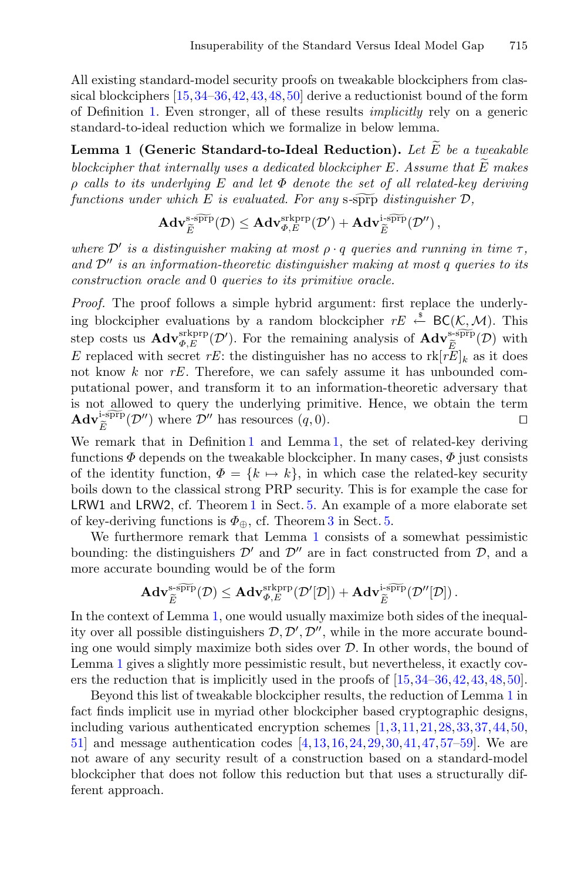All existing standard-model security proofs on tweakable blockciphers from classical blockciphers [\[15](#page-21-0)[,34](#page-22-2)[–36](#page-22-0),[42,](#page-23-1)[43,](#page-23-3)[48](#page-23-2)[,50\]](#page-23-0) derive a reductionist bound of the form of Definition [1.](#page-6-1) Even stronger, all of these results *implicitly* rely on a generic standard-to-ideal reduction which we formalize in below lemma. All existing standard-model security proofs on tweakable blockciphers from classical blockciphers [15, 34–36, 42, 43, 48, 50] derive a reductionist bound of the form of Definition 1. Even stronger, all of these results *i* sical blockciphers [15, 34–36, 42, 43, 48, 50] derive a reductionist bound of the of Definition 1. Even stronger, all of these results *implicitly* rely on a standard-to-ideal reduction which we formalize in below lemma.<br>

<span id="page-7-0"></span>blockcipher that internally uses a dedicated blockcipher E. Assume that  $\widetilde{E}$  makes  $\rho$  calls to its underlying  $E$  and let  $\Phi$  denote the set of all related-key deriving<br>functions under which  $E$  is evaluated. For any s-sprp distinguisher  $D$ ,<br> $\mathbf{Adv}_{\widetilde{E}}^{s\text{-s}\widetilde{P}\Gamma}(D) \leq \mathbf{Adv}_{\Phi,E}^{s\text{-k}\widetilde{P}\Gamma$ *functions the ideal reduction which we formalize in below lemma.*<br> *function 1 (Generic Standard-to-Ideal Reduction). Let*  $\widetilde{E}$  *be a blockcipher that internally uses a dedicated blockcipher E. Assume that*  $\rho$  *call* 

$$
\begin{array}{l} \textit{n} \textit{a} \textit{empty $E$} \textit{ is } \textit{evaluated. For any s-s}\overline{\textit{p}} \textit{in} \textit{all } \textit{real} \\ \textit{r} \textit{which $E$ is evaluated. For any s-s}\overline{\textit{p}} \textit{p} \textit{is} \textit{intiguis} \\ \textit{Adv}_{\widetilde{E}}^{\textit{s-s}\overline{\textit{p}} \textit{r}}(\mathcal{D}) \leq \textit{Adv}_{\Phi,E}^{\textit{s-k}\overline{\textit{p}} \textit{r}}(\mathcal{D}') + \textit{Adv}_{\widetilde{E}}^{\textit{i-s}\overline{\textit{p}} \textit{r}}(\mathcal{D}'') \,, \end{array}
$$

*where*  $\mathcal{D}'$  *is a distinguisher making at most*  $\rho \cdot q$  *queries and running in time*  $\tau$ *, and*  $\mathcal{D}''$  *is an information-theoretic distinguisher making at most q queries to its construction oracle and* 0 *queries to its primitive oracle.*

*Proof.* The proof follows a simple hybrid argument: first replace the underlying blockcipher evaluations by a random blockcipher  $rE \leftarrow^s BC(K, \mathcal{M})$ . This *Proof.* The proof follows a simple hybrid argument: first replace the ing blockcipher evaluations by a random blockcipher  $rE \stackrel{\text{\#}}{\leftarrow} BC(K, x)$  step costs us  $\mathbf{Adv}_{\Phi, E}^{\text{srkprp}}(\mathcal{D}')$ . For the remaining analysis of  $\$ Example 11 in the underly-<br>  $\sum_{\substack{S\subseteq \text{FPT}(D) \\ E}}$  with E replaced with secret rE: the distinguisher has no access to  $\text{rk}[rE]_k$  as it does not know k nor *rE*. Therefore, we can safely assume it has unbounded computational power, and transform it to an information-theoretic adversary that is not allowed to query the underlying primitive. Hence, we obtain the term not know<br>putationa<br>is not all<br> $Adv_{\tilde{E}}^{i\textrm{-spp}}$ tional power, and transform it to an information-theoretic adversary that<br>t allowed to query the underlying primitive. Hence, we obtain the term<br> $\tilde{E}^{\text{i-s}\overline{\text{prp}}}(\mathcal{D}'')$  where  $\mathcal{D}''$  has resources  $(q, 0)$ .

We remark that in Definition [1](#page-6-1) and Lemma [1,](#page-7-0) the set of related-key deriving functions  $\Phi$  depends on the tweakable blockcipher. In many cases,  $\Phi$  just consists of the identity function,  $\Phi = \{k \mapsto k\}$ , in which case the related-key security boils down to the classical strong PRP security. This is for example the case for LRW1 and LRW2, cf. Theorem [1](#page-11-1) in Sect. [5.](#page-10-0) An example of a more elaborate set of key-deriving functions is  $\Phi_{\oplus}$ , cf. Theorem [3](#page-12-0) in Sect. [5.](#page-10-0)

We furthermore remark that Lemma [1](#page-7-0) consists of a somewhat pessimistic bounding: the distinguishers  $\mathcal{D}'$  and  $\mathcal{D}''$  are in fact constructed from  $\mathcal{D}$ , and a<br>more accurate bounding would be of the form<br> $\mathbf{Adv}_{\widetilde{E}}^{\text{s-}\widetilde{\text{PPP}}}(\mathcal{D}) \leq \mathbf{Adv}_{\Phi,E}^{\text{s-kppr}}(\mathcal{D}'[\mathcal{D}]) + \mathbf{Adv}_{\widetilde$ more accurate bounding would be of the form

The distingusners 
$$
D'
$$
 and  $D''$  are in fact constructed, the bounding would be of the form\n
$$
\mathbf{Adv}_{\widetilde{E}}^{\text{s-sprp}}(\mathcal{D}) \leq \mathbf{Adv}_{\Phi,E}^{\text{s-kprp}}(\mathcal{D}'[\mathcal{D}]) + \mathbf{Adv}_{\widetilde{E}}^{\text{s-sprp}}(\mathcal{D}''[\mathcal{D}])
$$

In the context of Lemma [1,](#page-7-0) one would usually maximize both sides of the inequality over all possible distinguishers  $D, D', D''$ , while in the more accurate bounding one would simply maximize both sides over  $D$ . In other words, the bound of Lemma [1](#page-7-0) gives a slightly more pessimistic result, but nevertheless, it exactly covers the reduction that is implicitly used in the proofs of [\[15](#page-21-0)[,34](#page-22-2)[–36,](#page-22-0)[42](#page-23-1)[,43](#page-23-3)[,48](#page-23-2),[50\]](#page-23-0).

Beyond this list of tweakable blockcipher results, the reduction of Lemma [1](#page-7-0) in fact finds implicit use in myriad other blockcipher based cryptographic designs, including various authenticated encryption schemes [\[1,](#page-20-0)[3,](#page-20-1)[11](#page-21-1)[,21](#page-21-2),[28](#page-22-5)[,33](#page-22-6)[,37](#page-22-7),[44,](#page-23-6)[50,](#page-23-0) [51\]](#page-23-7) and message authentication codes [\[4](#page-20-2)[,13,](#page-21-3)[16](#page-21-4)[,24](#page-21-5)[,29](#page-22-8),[30,](#page-22-9)[41,](#page-23-8)[47](#page-23-9)[,57](#page-24-0)[–59](#page-24-1)]. We are not aware of any security result of a construction based on a standard-model blockcipher that does not follow this reduction but that uses a structurally different approach.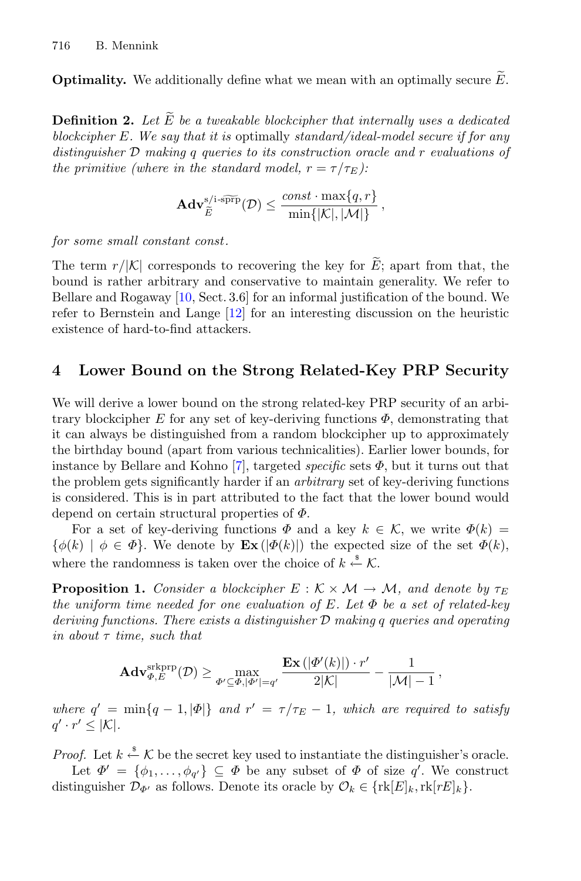716 B. Mennink<br> **Optimality.** We additionally define what we mean with an optimally secure  $\widetilde{E}$ .

<span id="page-8-2"></span>**Definition 2.** Let  $\widetilde{E}$  be a tweakable blockcipher that internally uses a dedicated **Definition 2.** Let  $\widetilde{E}$  be a tweakable blockcipher that internally uses a dedicated *blockcipher* E*. We say that it is* optimally *standard/ideal-model secure if for any distinguisher* D *making* q *queries to its construction oracle and* r *evaluations of the primitive (where in the standard model,*  $r = \tau/\tau_E$ ):<br>  $\mathbf{Adv}_{\tilde{E}}^{s/i\text{-sPFP}}(\mathcal{D}) \leq \frac{const \cdot \max\{q, n\}}{\min\{|\mathcal{K}|, |\mathcal{M}|\}}$ 

$$
\mathbf{Adv}_{\widetilde{E}}^{\text{s/i-s}\widetilde{\text{prp}}}(\mathcal{D}) \leq \frac{const \cdot \max\{q, r\}}{\min\{|\mathcal{K}|, |\mathcal{M}|\}},
$$

*for some small constant const .*

 $\mathbf{Adv}_{\widetilde{E}}^{s/i\text{-sPTp}}(\mathcal{D}) \le \frac{const\cdot\max\{q,r\}}{\min\{|\mathcal{K}|, |\mathcal{M}|\}}$ ,<br>for some small constant const.<br>The term  $r/|\mathcal{K}|$  corresponds to recovering the key for  $\widetilde{E}$ ; apart from that, the bound is rather arbitrary and conservative to maintain generality. We refer to Bellare and Rogaway [\[10](#page-21-14), Sect. 3.6] for an informal justification of the bound. We refer to Bernstein and Lange [\[12](#page-21-15)] for an interesting discussion on the heuristic existence of hard-to-find attackers.

## <span id="page-8-1"></span>**4 Lower Bound on the Strong Related-Key PRP Security**

We will derive a lower bound on the strong related-key PRP security of an arbitrary blockcipher E for any set of key-deriving functions  $\Phi$ , demonstrating that it can always be distinguished from a random blockcipher up to approximately the birthday bound (apart from various technicalities). Earlier lower bounds, for instance by Bellare and Kohno  $[7]$  $[7]$ , targeted *specific* sets  $\Phi$ , but it turns out that the problem gets significantly harder if an *arbitrary* set of key-deriving functions is considered. This is in part attributed to the fact that the lower bound would depend on certain structural properties of  $\Phi$ .

For a set of key-deriving functions  $\Phi$  and a key  $k \in \mathcal{K}$ , we write  $\Phi(k) =$  $\{\phi(k) \mid \phi \in \Phi\}.$  We denote by  $\mathbf{Ex}(|\Phi(k)|)$  the expected size of the set  $\Phi(k)$ , where the randomness is taken over the choice of  $k \stackrel{\text{s}}{\leftarrow} \mathcal{K}$ .

**Proposition 1.** *Consider a blockcipher*  $E : K \times M \rightarrow M$ *, and denote by*  $\tau_E$ *the uniform time needed for one evaluation of* E*. Let* Φ *be a set of related-key deriving functions. There exists a distinguisher* D *making* q *queries and operating in about* τ *time, such that*

<span id="page-8-0"></span>
$$
\mathbf{Adv}_{\varPhi,E}^{\mathrm{skprp}}(\mathcal{D}) \ge \max_{\varPhi' \subseteq \varPhi, |\varPhi'| = q'} \frac{\mathbf{Ex}\left(|\varPhi'(k)|\right) \cdot r'}{2|\mathcal{K}|} - \frac{1}{|\mathcal{M}|-1},
$$

*where*  $q' = \min\{q - 1, |\Phi|\}$  *and*  $r' = \tau/\tau_E - 1$ *, which are required to satisfy*  $q' \cdot r' \leq |\mathcal{K}|.$ 

*Proof.* Let  $k \stackrel{\$}{\leftarrow} \mathcal{K}$  be the secret key used to instantiate the distinguisher's oracle. Let  $\Phi' = {\phi_1, \ldots, \phi_{q'}} \subseteq \Phi$  be any subset of  $\Phi$  of size q'. We construct

distinguisher  $\mathcal{D}_{\Phi'}$  as follows. Denote its oracle by  $\mathcal{O}_k \in \{\text{rk}[E]_k,\text{rk}[rE]_k\}.$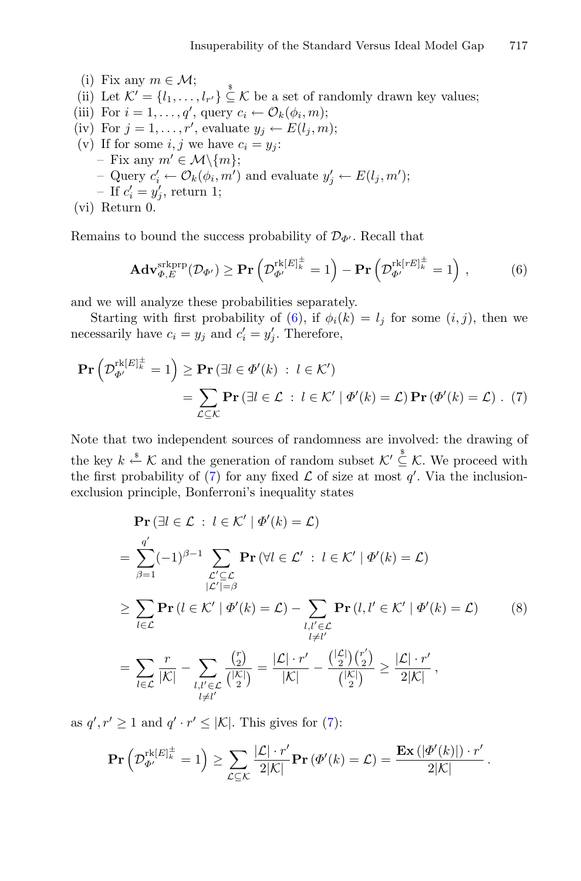- (i) Fix any  $m \in \mathcal{M}$ ;
- (ii) Let  $\mathcal{K}' = \{l_1, \ldots, l_{r'}\} \subseteq \mathcal{K}$  be a set of randomly drawn key values;
- (iii) For  $i = 1, \ldots, q'$ , query  $c_i \leftarrow \mathcal{O}_k(\phi_i, m);$
- (iv) For  $j = 1, \ldots, r'$ , evaluate  $y_j \leftarrow E(l_j, m);$
- (v) If for some  $i, j$  we have  $c_i = y_j$ : – Fix any  $m' \in \mathcal{M}\backslash\{m\};$ - Query  $c'_i \leftarrow \mathcal{O}_k(\phi_i, m')$  and evaluate  $y'_j \leftarrow E(l_j, m');$ - If  $c_i' = y_j'$ , return 1;  $\begin{split} & \mathbf{u}_i, m \text{ } j \text{ and } \text{cuand } y_j \leftarrow D(v_j) \ & \ 1; \ & \ \text{success probability of } \mathcal{D}_{\Phi^{\prime}}. \text{ Rec} \ & \ \text{exists } \mathbf{v} \left( \mathcal{D}_{\Phi^{\prime}}^{\text{rk}[E]_k^{\pm}} = 1 \right) - \textbf{Pr} \left( \right) \end{split}$

(vi) Return 0.

Remains to bound the success probability of  $\mathcal{D}_{\Phi}$ . Recall that

<span id="page-9-1"></span><span id="page-9-0"></span>
$$
L_{i}^{U} \circ L_{k}^{U} \circ L_{k}^{U}(\varphi_{i}, m) \text{ and evaluate } y_{j} \in L(t_{j}, m),
$$
\n
$$
L'_{i} = y'_{j}, \text{ return 1};
$$
\n
$$
U_{i}^{U} \circ \mathcal{D}_{j}^{U}, \text{ return 1};
$$
\n
$$
U_{i}^{U} \circ \mathcal{D}_{j}^{U} \circ \mathcal{D}_{j}^{U} \circ \mathcal{D}_{j}^{U} \circ \mathcal{D}_{j}^{U} \circ \mathcal{D}_{j}^{U} \circ \mathcal{D}_{j}^{U} \circ \mathcal{D}_{j}^{U} \circ \mathcal{D}_{j}^{U} \circ \mathcal{D}_{j}^{U} \circ \mathcal{D}_{j}^{U} \circ \mathcal{D}_{j}^{U} \circ \mathcal{D}_{j}^{U} \circ \mathcal{D}_{j}^{U} \circ \mathcal{D}_{j}^{U} \circ \mathcal{D}_{j}^{U} \circ \mathcal{D}_{j}^{U} \circ \mathcal{D}_{j}^{U} \circ \mathcal{D}_{j}^{U} \circ \mathcal{D}_{j}^{U} \circ \mathcal{D}_{j}^{U} \circ \mathcal{D}_{j}^{U} \circ \mathcal{D}_{j}^{U} \circ \mathcal{D}_{j}^{U} \circ \mathcal{D}_{j}^{U} \circ \mathcal{D}_{j}^{U} \circ \mathcal{D}_{j}^{U} \circ \mathcal{D}_{j}^{U} \circ \mathcal{D}_{j}^{U} \circ \mathcal{D}_{j}^{U} \circ \mathcal{D}_{j}^{U} \circ \mathcal{D}_{j}^{U} \circ \mathcal{D}_{j}^{U} \circ \mathcal{D}_{j}^{U} \circ \mathcal{D}_{j}^{U} \circ \mathcal{D}_{j}^{U} \circ \mathcal{D}_{j}^{U} \circ \mathcal{D}_{j}^{U} \circ \mathcal{D}_{j}^{U} \circ \mathcal{D}_{j}^{U} \circ \mathcal{D}_{j}^{U} \circ \mathcal{D}_{j}^{U} \circ \mathcal{D}_{j}^{U} \circ \mathcal{D}_{j}^{U} \circ \mathcal{D}_{j}^{U} \circ \mathcal{D}_{j}^{U} \circ \mathcal{D}_{j}^{U} \circ \mathcal{D}_{j}^{U} \circ \mathcal{D}_{j}^{U} \
$$

and we will analyze these probabilities separately.

Starting with first probability of [\(6\)](#page-9-0), if  $\phi_i(k) = l_i$  for some  $(i, j)$ , then we necessarily have  $c_i = y_j$  and  $c'_i = y'_j$ . Therefore, nd we will analyze<br>
Starting with fi<br>
ecessarily have  $c_i$ <br>  $Pr\left(\mathcal{D}_{\Phi'}^{\text{rk}[E]_k^\pm} = 1\right)$ 

Starting with first probability of (6), if 
$$
\phi_i(k) = l_j
$$
 for some  $(i, j)$ , then we  
ecessarily have  $c_i = y_j$  and  $c'_i = y'_j$ . Therefore,  
  

$$
\mathbf{Pr}\left(\mathcal{D}_{\Phi'}^{\text{rk}[E]_k^{\pm}} = 1\right) \geq \mathbf{Pr}\left(\exists l \in \Phi'(k) : l \in \mathcal{K}'\right)
$$

$$
= \sum_{\mathcal{L} \subseteq \mathcal{K}} \mathbf{Pr}\left(\exists l \in \mathcal{L} : l \in \mathcal{K}' \mid \Phi'(k) = \mathcal{L}\right) \mathbf{Pr}\left(\Phi'(k) = \mathcal{L}\right). (7)
$$

Note that two independent sources of randomness are involved: the drawing of the key  $k \stackrel{\text{s}}{\leftarrow} \mathcal{K}$  and the generation of random subset  $\mathcal{K}' \stackrel{\text{s}}{\subseteq} \mathcal{K}$ . We proceed with exclusion principle, Bonferroni's inequality states

the first probability of (7) for any fixed 
$$
\mathcal{L}
$$
 of size at most  $q'$ . Via the inclusion-  
exclusion principle, Bonferroni's inequality states  

$$
\mathbf{Pr}(\exists l \in \mathcal{L} : l \in \mathcal{K}' \mid \Phi'(k) = \mathcal{L})
$$

$$
= \sum_{\beta=1}^{q'} (-1)^{\beta-1} \sum_{\substack{\mathcal{L}' \subseteq \mathcal{L} \\ |\mathcal{L}'| = \beta}} \mathbf{Pr}(\forall l \in \mathcal{L}' : l \in \mathcal{K}' \mid \Phi'(k) = \mathcal{L})
$$

$$
\geq \sum_{l \in \mathcal{L}} \mathbf{Pr}(l \in \mathcal{K}' \mid \Phi'(k) = \mathcal{L}) - \sum_{\substack{l, l' \in \mathcal{L} \\ l \neq l'}} \mathbf{Pr}(l, l' \in \mathcal{K}' \mid \Phi'(k) = \mathcal{L}) \qquad (8)
$$

$$
= \sum_{l \in \mathcal{L}} \frac{r}{|\mathcal{K}|} - \sum_{l, l' \in \mathcal{L}} \frac{\binom{r}{2}}{\binom{|\mathcal{K}|}{2}} = \frac{|\mathcal{L}| \cdot r'}{|\mathcal{K}|} - \frac{\binom{|\mathcal{L}|}{2} \binom{r'}{2}}{\binom{|\mathcal{K}|}{2}} \geq \frac{|\mathcal{L}| \cdot r'}{2|\mathcal{K}|},
$$

<span id="page-9-2"></span>
$$
= \sum_{l \in \mathcal{L}} \frac{r}{|\mathcal{K}|} - \sum_{\substack{l,l' \in \mathcal{L} \\ l \neq l'}} \frac{{\binom{r}{2}}}{\binom{|\mathcal{K}|}{2}} = \frac{|\mathcal{L}| \cdot r'}{|\mathcal{K}|} - \frac{{\binom{|\mathcal{L}|}{2}}{\binom{r}{2}}}{\binom{|\mathcal{K}|}{2}} \ge \frac{|\mathcal{L}| \cdot r'}{2|\mathcal{K}|},
$$
  

$$
f' \ge 1 \text{ and } q' \cdot r' \le |\mathcal{K}|. \text{ This gives for (7):}
$$
  

$$
\mathbf{Pr}\left(\mathcal{D}_{\Phi'}^{\mathrm{rk}[\mathcal{E}]_{k}^{\pm}} = 1\right) \ge \sum \frac{|\mathcal{L}| \cdot r'}{2|\mathcal{K}|} \mathbf{Pr}\left(\Phi'(k) = \mathcal{L}\right) = \frac{\mathbf{Ex}\left(|\Phi'|}{2|\mathcal{K}|}\right)^{1/2}}{2^{1/2}}.
$$

as  $q', r' \ge 1$  and  $q' \cdot r' \le |\mathcal{K}|$ . This gives for [\(7\)](#page-9-1):

$$
\mathbf{Pr}\left(\mathcal{D}_{\Phi'}^{\mathrm{rk}[E]_k^{\pm}}=1\right) \geq \sum_{\mathcal{L}\subseteq\mathcal{K}}\frac{|\mathcal{L}|\cdot r'}{2|\mathcal{K}|}\mathbf{Pr}\left(\Phi'(k)=\mathcal{L}\right) = \frac{\mathbf{Ex}\left(\left|\Phi'(k)\right|\right)\cdot r'}{2|\mathcal{K}|}.
$$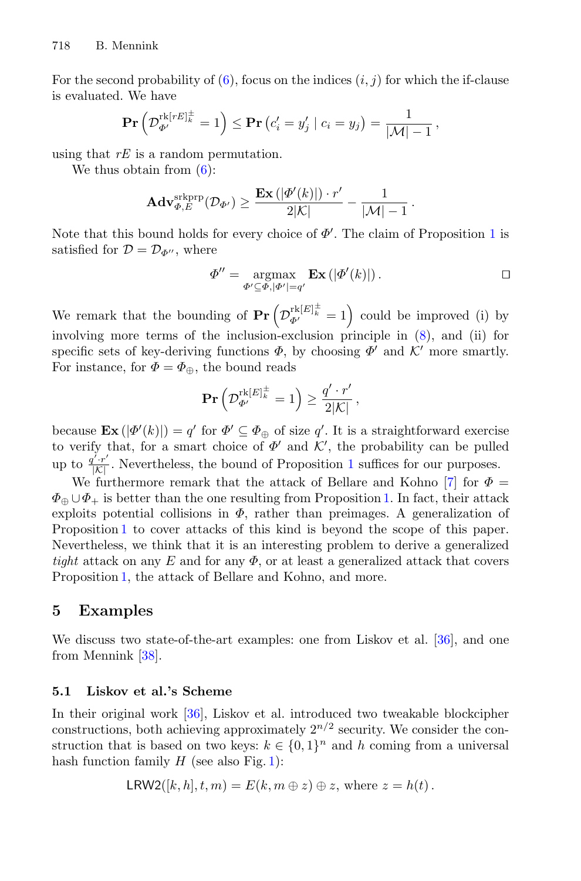For the second probability of  $(6)$ , focus on the indices  $(i, j)$  for which the if-clause is evaluated. We have Ennink<br>
nd probability of (6), focus<br>
We have<br>  $\Pr\left(\mathcal{D}_{\Phi'}^{\text{rk}[rE]_k^\pm} = 1\right) \leq \Pr\left(\varepsilon\right)$ 

$$
\mathbf{Pr}\left(\mathcal{D}_{\Phi'}^{\mathrm{rk}[rE]_k^{\pm}}=1\right) \leq \mathbf{Pr}\left(c_i'=y_j'\mid c_i=y_j\right) = \frac{1}{|\mathcal{M}|-1},
$$

using that *rE* is a random permutation.

We thus obtain from  $(6)$ :

$$
\mathbf{Adv}_{\varPhi,E}^{\mathrm{skprp}}(\mathcal{D}_{\varPhi'}) \geq \frac{\mathbf{Ex}\left(|\varPhi'(k)|\right)\cdot r'}{2|\mathcal{K}|} - \frac{1}{|\mathcal{M}|-1}.
$$

Note that this bound holds for every choice of  $\Phi'$ . The claim of Proposition [1](#page-8-0) is satisfied for  $\mathcal{D} = \mathcal{D}_{\Phi''}$ , where

$$
\Phi'' = \underset{\Phi' \subseteq \Phi, |\Phi'| = q'}{\operatorname{argmax}} \mathbf{Ex} \left( |\Phi'(k)| \right). \Box
$$

Note that this bound holds for every choice of  $\Phi'$ . The claim of Proposition 1 is<br>
satisfied for  $\mathcal{D} = \mathcal{D}_{\Phi''}$ , where<br>  $\Phi'' = \underset{\Phi' \subseteq \Phi, |\Phi'| = q'}{\operatorname{argmax}} \mathbf{Ex} (|\Phi'(k)|)$ .  $\square$ <br>
We remark that the bounding of  $\mathbf{Pr} \left( \math$ involving more terms of the inclusion-exclusion principle in [\(8\)](#page-9-2), and (ii) for specific sets of key-deriving functions  $\Phi$ , by choosing  $\Phi'$  and  $\mathcal{K}'$  more smartly. For instance, for  $\Phi = \Phi_{\oplus}$ , the bound reads

$$
\mathbf{Pr}\left(\mathcal{D}_{\Phi'}^{\mathrm{rk}[E]_k^{\pm}} = 1\right) \ge \frac{q' \cdot r'}{2|\mathcal{K}|},
$$

because  $\mathbf{Ex}(|\Phi'(k)|) = q'$  for  $\Phi' \subseteq \Phi_{\oplus}$  of size q'. It is a straightforward exercise to verify that, for a smart choice of  $\Phi'$  and  $\mathcal{K}'$ , the probability can be pulled up to  $\frac{q' \cdot r'}{|K|}$ . Nevertheless, the bound of Proposition [1](#page-8-0) suffices for our purposes.

We furthermore remark that the attack of Bellare and Kohno [\[7](#page-20-6)] for  $\Phi =$  $\Phi_{\oplus} \cup \Phi_{+}$  is better than the one resulting from Proposition [1.](#page-8-0) In fact, their attack exploits potential collisions in  $\Phi$ , rather than preimages. A generalization of Proposition [1](#page-8-0) to cover attacks of this kind is beyond the scope of this paper. Nevertheless, we think that it is an interesting problem to derive a generalized *tight* attack on any E and for any  $\Phi$ , or at least a generalized attack that covers Proposition [1,](#page-8-0) the attack of Bellare and Kohno, and more.

## <span id="page-10-0"></span>**5 Examples**

We discuss two state-of-the-art examples: one from Liskov et al. [\[36\]](#page-22-0), and one from Mennink [\[38](#page-22-3)].

#### **5.1 Liskov et al.'s Scheme**

In their original work [\[36](#page-22-0)], Liskov et al. introduced two tweakable blockcipher constructions, both achieving approximately  $2^{n/2}$  security. We consider the construction that is based on two keys:  $k \in \{0,1\}^n$  and h coming from a universal hash function family  $H$  (see also Fig. [1\)](#page-11-2):

$$
LRW2([k, h], t, m) = E(k, m \oplus z) \oplus z, \text{ where } z = h(t).
$$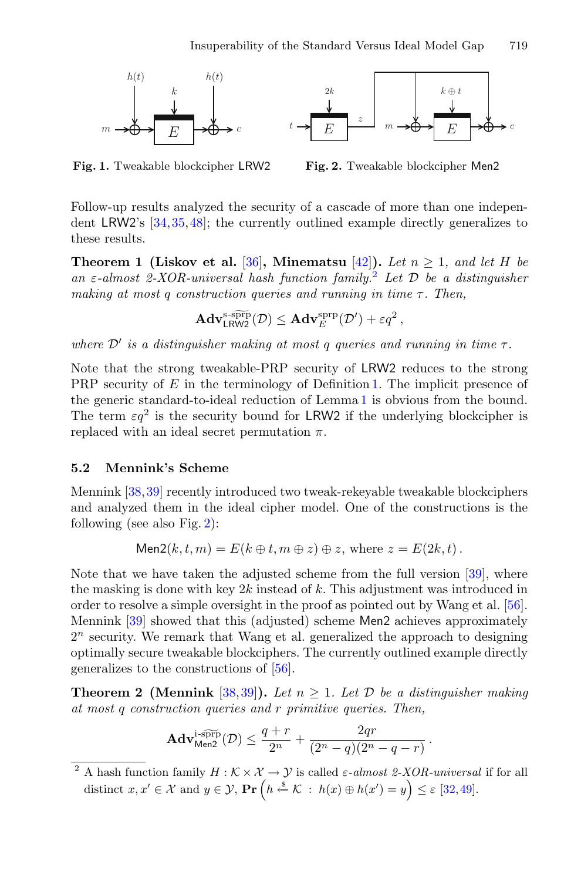<span id="page-11-2"></span>

**Fig. 1.** Tweakable blockcipher LRW2

<span id="page-11-4"></span>**Fig. 2.** Tweakable blockcipher Men2

Follow-up results analyzed the security of a cascade of more than one independent LRW2's [\[34](#page-22-2),[35,](#page-22-1)[48\]](#page-23-2); the currently outlined example directly generalizes to these results.

<span id="page-11-1"></span>**Theorem 1 (Liskov et al.** [\[36\]](#page-22-0), Minematsu [\[42\]](#page-23-1)). Let  $n \geq 1$ , and let H be *an* <sup>ε</sup>*-almost 2-XOR-universal hash function family.*[2](#page-11-3) *Let* <sup>D</sup> *be a distinguisher making at most q construction queries and running in time τ. Then,*  $\begin{array}{c} \textit{universal} \ \textit{struction} \ \textbf{Adv}_{\textsf{IRW2}}^{\text{s-s}\overline{\textsf{prp}}} \end{array}$ 

$$
\mathbf{Adv}_{\mathsf{LRW2}}^{\mathrm{s-sppp}}(\mathcal{D}) \leq \mathbf{Adv}_{E}^{\mathrm{sprp}}(\mathcal{D}') + \varepsilon q^2,
$$

*where*  $\mathcal{D}'$  *is a distinguisher making at most q queries and running in time*  $\tau$ *.* 

Note that the strong tweakable-PRP security of LRW2 reduces to the strong PRP security of E in the terminology of Definition [1.](#page-6-1) The implicit presence of the generic standard-to-ideal reduction of Lemma [1](#page-7-0) is obvious from the bound. The term  $\varepsilon q^2$  is the security bound for LRW2 if the underlying blockcipher is replaced with an ideal secret permutation  $\pi$ .

#### <span id="page-11-0"></span>**5.2 Mennink's Scheme**

Mennink [\[38](#page-22-3),[39\]](#page-22-4) recently introduced two tweak-rekeyable tweakable blockciphers and analyzed them in the ideal cipher model. One of the constructions is the following (see also Fig. [2\)](#page-11-4):

$$
\mathsf{Men2}(k, t, m) = E(k \oplus t, m \oplus z) \oplus z, \text{ where } z = E(2k, t).
$$

Note that we have taken the adjusted scheme from the full version [\[39\]](#page-22-4), where the masking is done with key  $2k$  instead of k. This adjustment was introduced in order to resolve a simple oversight in the proof as pointed out by Wang et al. [\[56\]](#page-23-5). Mennink [\[39\]](#page-22-4) showed that this (adjusted) scheme Men2 achieves approximately  $2<sup>n</sup>$  security. We remark that Wang et al. generalized the approach to designing optimally secure tweakable blockciphers. The currently outlined example directly generalizes to the constructions of [\[56\]](#page-23-5).

<span id="page-11-5"></span>**Theorem 2 (Mennink** [\[38](#page-22-3)[,39](#page-22-4)]). Let  $n \geq 1$ . Let  $\mathcal{D}$  be a distinguisher making *at most* q *construction queries and* r *primitive queries. Then,*  $\begin{array}{c} \textbf{Iennink} \ \textit{action} \ \textit{qu} \ \textbf{Adv}^{\text{i-SPFP}}_{\textbf{Men2}} \end{array}$ 

$$
\mathbf{Adv}_{\mathrm{Men2}}^{\mathrm{i}\text{-s}\widetilde{\mathrm{prp}}}(\mathcal{D})\leq \frac{q+r}{2^n}+\frac{2qr}{(2^n-q)(2^n-q-r)}
$$

.

<span id="page-11-3"></span>A hash function family  $H : \mathcal{K} \times \mathcal{X} \to \mathcal{Y}$  is called  $\varepsilon$ -almost 2-XOR-universal if for all distinct  $x, x' \in \mathcal{X}$  and  $y \in \mathcal{Y}$ ,  $\Pr\left(h \stackrel{s}{\leftarrow} \mathcal{K} : h(x) \oplus h(x') = y\right) \leq \varepsilon$  [\[32,](#page-22-14)[49](#page-23-16)].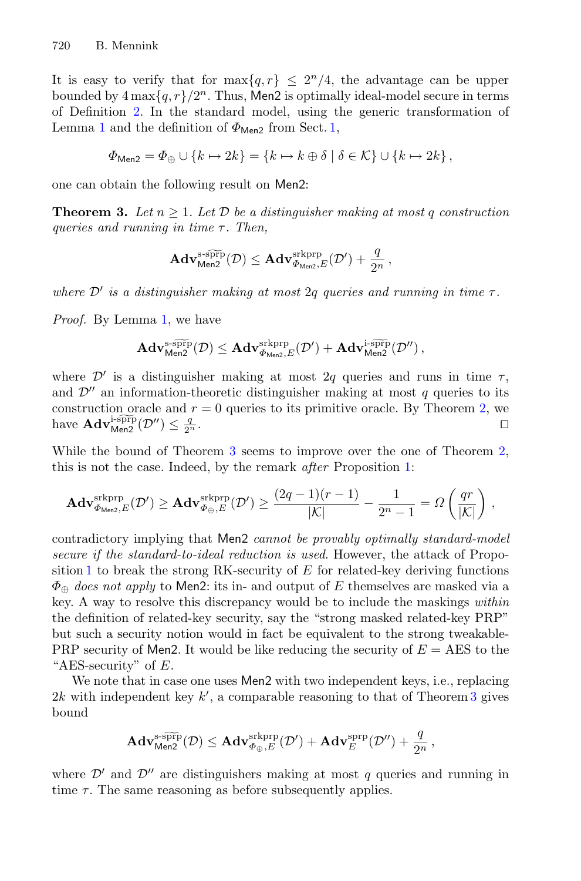It is easy to verify that for  $\max\{q, r\} \leq 2^n/4$ , the advantage can be upper bounded by  $4 \max\{q, r\}/2^n$ . Thus, Men2 is optimally ideal-model secure in terms of Definition [2.](#page-8-2) In the standard model, using the generic transformation of Lemma [1](#page-7-0) and the definition of  $\Phi_{\text{Men2}}$  from Sect. [1,](#page-0-0)

$$
\Phi_{\text{Men2}} = \Phi_{\oplus} \cup \{k \mapsto 2k\} = \{k \mapsto k \oplus \delta \mid \delta \in \mathcal{K}\} \cup \{k \mapsto 2k\}\,,
$$

<span id="page-12-0"></span>one can obtain the following result on Men2:

**Theorem 3.** Let  $n \geq 1$ . Let  $D$  be a distinguisher making at most q construction *queries and running in time τ. Then,*  $\geq 1.$  Let  $\mathcal I$ <br> $in~time~\tau$ <br> $\mathbf{Adv}_{\mathsf{Men2}}^{\text{s-sprp}}$ 

$$
\mathbf{Adv}_{\mathsf{Men2}}^{\text{s-s}\widetilde{\text{prp}}}(\mathcal{D})\leq \mathbf{Adv}_{\varPhi_{\mathsf{Men2}},E}^{\text{skprp}}(\mathcal{D}')+\frac{q}{2^n}\,,
$$

*where*  $\mathcal{D}'$  *is a distinguisher making at most* 2*g queries and running in time*  $\tau$ *.* 

*Proof.* By Lemma [1,](#page-7-0) we have

$$
\begin{array}{l} \displaystyle \text{ and 1, we have} \\ \displaystyle \mathbf{Adv}^{\text{s-SPFP}}_{\text{Men2}}(\mathcal{D}) \leq \mathbf{Adv}^{\text{s-RPFP}}_{\Phi_{\text{Men2}},E}(\mathcal{D}') + \mathbf{Adv}^{\text{i-SPFP}}_{\text{Men2}}(\mathcal{D}'') \,, \end{array}
$$

where  $\mathcal{D}'$  is a distinguisher making at most 2q queries and runs in time  $\tau$ , and  $\mathcal{D}''$  an information-theoretic distinguisher making at most q queries to its construction oracle and  $r = 0$  queries to its primitive oracle. By Theorem [2,](#page-11-5) we where  $\mathcal{D}'$  is a distingui<br>and  $\mathcal{D}''$  an information-<br>construction oracle and<br>have  $\mathbf{Adv}_{\text{Menz}}^{\text{i-sprp}}(\mathcal{D}'') \leq \frac{q}{2^n}$  $\frac{q}{2^n}$ .

While the bound of Theorem [3](#page-12-0) seems to improve over the one of Theorem [2,](#page-11-5) this is not the case. Indeed, by the remark *after* Proposition [1:](#page-8-0)

\n instruction oracle and 
$$
r = 0
$$
 queries to its primitive oracle. By Theorem 2, we  $\mathbf{Adv}_{\text{Menz}}^{\text{Lsopp}}(\mathcal{D}^{\prime\prime}) \leq \frac{q}{2^n}$ .\n

\n\n The bound of Theorem 3 seems to improve over the one of Theorem is is not the case. Indeed, by the remark after Proposition 1:\n

\n\n
$$
\mathbf{Adv}_{\Phi_{\text{Menz}},E}^{\text{srkprp}}(\mathcal{D}^{\prime}) \geq \mathbf{Adv}_{\Phi_{\oplus},E}^{\text{srkprp}}(\mathcal{D}^{\prime}) \geq \frac{(2q-1)(r-1)}{|\mathcal{K}|} - \frac{1}{2^n-1} = \Omega\left(\frac{qr}{|\mathcal{K}|}\right),
$$
\n

contradictory implying that Men2 *cannot be provably optimally standard-model secure if the standard-to-ideal reduction is used*. However, the attack of Propo-sition [1](#page-8-0) to break the strong RK-security of  $E$  for related-key deriving functions  $\Phi_{\oplus}$  *does not apply* to Men2: its in- and output of E themselves are masked via a key. A way to resolve this discrepancy would be to include the maskings *within* the definition of related-key security, say the "strong masked related-key PRP" but such a security notion would in fact be equivalent to the strong tweakable-PRP security of Men2. It would be like reducing the security of  $E = AES$  to the "AES-security" of  $E$ .

We note that in case one uses Men2 with two independent keys, i.e., replacing 2k with independent key k', a comparable reasoning to that of Theorem [3](#page-12-0) gives<br>
bound<br>  $\mathbf{Adv}_{\mathsf{M}^{\text{ss}}_{\text{P}}\mathsf{P}}^{\text{SPP}}(\mathcal{D}) \leq \mathbf{Adv}_{\Phi_{\alpha}^{\text{R}}\mathsf{P}}^{\text{skprp}}(\mathcal{D}') + \mathbf{Adv}_{E}^{\text{SPP}}(\mathcal{D}'') + \frac{q}{2\pi},$ bound

$$
\mathbf{Adv}_{\mathsf{Men2}}^{\operatorname{s-s}\widetilde{\operatorname{prp}}}(\mathcal{D})\leq \mathbf{Adv}_{\Phi_{\oplus},E}^{\operatorname{skprp}}(\mathcal{D}')+\mathbf{Adv}_{E}^{\operatorname{sprp}}(\mathcal{D}'')+\frac{q}{2^n}\,,
$$

where  $\mathcal{D}'$  and  $\mathcal{D}''$  are distinguishers making at most q queries and running in time  $\tau$ . The same reasoning as before subsequently applies.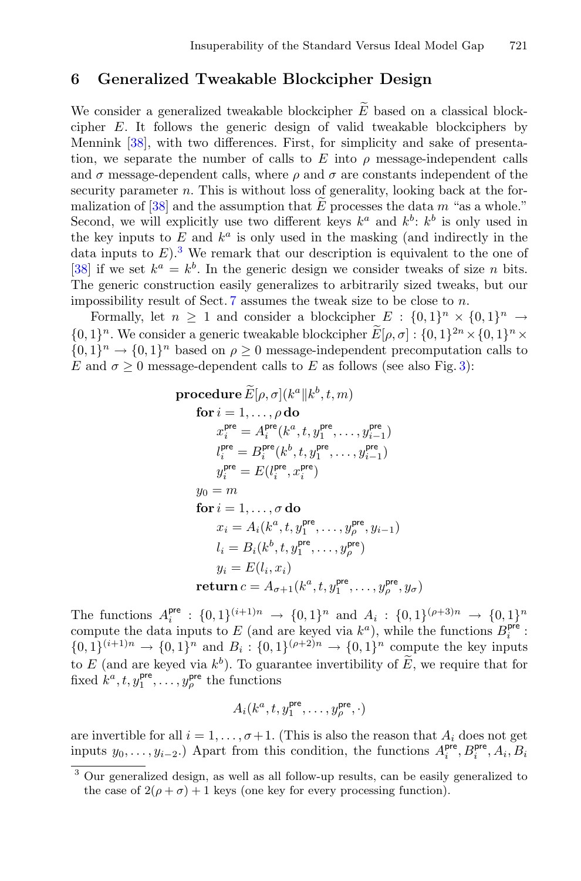### <span id="page-13-0"></span>**6 Generalized Tweakable Blockcipher Design**

Insuperability of the Standard Versus Ideal Model Gap 721<br>
6 Generalized Tweakable Blockcipher Design<br>
We consider a generalized tweakable blockcipher  $\widetilde{E}$  based on a classical blockcipher E. It follows the generic design of valid tweakable blockciphers by Mennink [\[38\]](#page-22-3), with two differences. First, for simplicity and sake of presentation, we separate the number of calls to  $E$  into  $\rho$  message-independent calls and  $\sigma$  message-dependent calls, where  $\rho$  and  $\sigma$  are constants independent of the security parameter  $n$ . This is without loss of generality, looking back at the for-cipher E. It follows the generic design of valid tweakable blockciphers by<br>Mennink [\[38](#page-22-3)], with two differences. First, for simplicity and sake of presenta-<br>tion, we separate the number of calls to E into  $\rho$  message-indep Second, we will explicitly use two different keys  $k^a$  and  $k^b$ :  $k^b$  is only used in the key inputs to  $E$  and  $k^a$  is only used in the masking (and indirectly in the data inputs to  $E$ ).<sup>[3](#page-13-1)</sup> We remark that our description is equivalent to the one of [\[38](#page-22-3)] if we set  $k^a = k^b$ . In the generic design we consider tweaks of size *n* bits. The generic construction easily generalizes to arbitrarily sized tweaks, but our impossibility result of Sect.  $7$  assumes the tweak size to be close to  $n$ . data inputs to  $E$ ). We remark that our description is equivalent to the one of [38] if we set  $k^a = k^b$ . In the generic design we consider tweaks of size *n* bits.<br>The generic construction easily generalizes to arbitrari

Formally, let  $n \geq 1$  and consider a blockcipher  $E : \{0,1\}^n \times \{0,1\}^n \rightarrow$  $\{0,1\}^n \to \{0,1\}^n$  based on  $\rho \geq 0$  message-independent precomputation calls to E and  $\sigma > 0$  message-dependent calls to E as follows (see also Fig. [3\)](#page-14-0):  $n \geq 1$  and cover a generic two<br>based on  $\rho \geq$ <br>age-dependent<br>**procedure**  $\widetilde{E}$ 

$$
\begin{aligned}\n\text{procedure } \widetilde{E}[\rho, \sigma](k^a \| k^b, t, m) \\
\text{for } i = 1, \dots, \rho \text{ do} \\
x_i^{\text{pre}} = A_i^{\text{pre}}(k^a, t, y_1^{\text{pre}}, \dots, y_{i-1}^{\text{pre}}) \\
l_i^{\text{pre}} = B_i^{\text{pre}}(k^b, t, y_1^{\text{pre}}, \dots, y_{i-1}^{\text{pre}}) \\
y_i^{\text{pre}} = E(l_i^{\text{pre}}, x_i^{\text{pre}}) \\
y_0 = m \\
\text{for } i = 1, \dots, \sigma \text{ do} \\
x_i = A_i(k^a, t, y_1^{\text{pre}}, \dots, y_p^{\text{pre}}, y_{i-1}) \\
l_i = B_i(k^b, t, y_1^{\text{pre}}, \dots, y_p^{\text{pre}}) \\
y_i = E(l_i, x_i) \\
\text{return } c = A_{\sigma+1}(k^a, t, y_1^{\text{pre}}, \dots, y_p^{\text{pre}}, y_\sigma)\n\end{aligned}
$$

The functions  $A_i^{\text{pre}}: \{0,1\}^{(i+1)n} \to \{0,1\}^n$  and  $A_i: \{0,1\}^{(\rho+3)n} \to \{0,1\}^n$ compute the data inputs to E (and are keyed via  $k^a$ ), while the functions  $B_i^{\text{pre}}$ :  ${0, 1}^{\{i+1\}n} \rightarrow {0, 1}^n$  and  $B_i: {0, 1}^{\{\rho+2\}n} \rightarrow {0, 1}^n$  compute the key inputs **return**  $c = A_{\sigma+1}(k^{\alpha}, t, y_1^{\mu \alpha}, \dots, y_{\rho}^{\mu \alpha}, y_{\rho}^{\mu \nu})$ .<br>The functions  $A_i^{\text{pre}}$ :  $\{0,1\}^{(i+1)n} \rightarrow \{0,1\}^n$  and  $A_i$ :  $\{0,0,1\}^{(i+1)n} \rightarrow \{0,1\}^n$  and  $B_i$ :  $\{0,1\}^{(\rho+2)n} \rightarrow \{0,1\}^n$  com to  $E$  (and are keyed to E (and are keyed via  $k^b$ ). To guarantee invertibility of  $\widetilde{E}$ , we require that for fixed  $k^a, t, y_1^{\text{pre}}, \ldots, y_\rho^{\text{pre}}$  the functions

$$
A_i(k^a, t, y_1^{\text{pre}}, \dots, y_\rho^{\text{pre}}, \cdot)
$$

are invertible for all  $i = 1, \ldots, \sigma + 1$ . (This is also the reason that  $A_i$  does not get inputs  $y_0, \ldots, y_{i-2}$ .) Apart from this condition, the functions  $A_i^{\text{pre}}, B_i^{\text{pre}}, A_i, B_i$ 

<span id="page-13-1"></span><sup>3</sup> Our generalized design, as well as all follow-up results, can be easily generalized to the case of  $2(\rho + \sigma) + 1$  keys (one key for every processing function).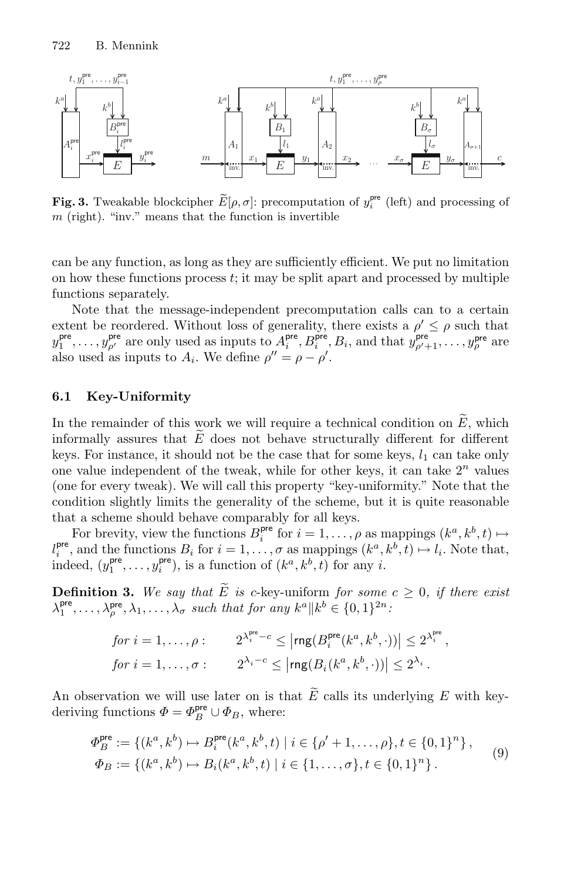

<span id="page-14-0"></span>**Fig. 3.** Tweakable blockcipher  $\tilde{E}[\rho, \sigma]$ : precomputation of  $y_i^{\text{pre}}$  (left) and processing of  $m$  (right). "inv." means that the function is invertible

can be any function, as long as they are sufficiently efficient. We put no limitation on how these functions process  $t$ ; it may be split apart and processed by multiple functions separately.

Note that the message-independent precomputation calls can to a certain extent be reordered. Without loss of generality, there exists a  $\rho' \leq \rho$  such that  $y_1^{\text{pre}}, \ldots, y_{\rho'}^{\text{pre}}$  are only used as inputs to  $A_i^{\text{pre}}, B_i^{\text{pre}}, B_i$ , and that  $y_{\rho'+1}^{\text{pre}}, \ldots, y_{\rho}^{\text{pre}}$  are also used as inputs to  $A_i$ . We define  $\rho'' = \rho - \rho'$ .  $\begin{aligned} \mathcal{Y}_1, \dots, \mathcal{Y}_{\rho'} \text{ are only used as inputs to } A_i, \ D_i, \text{ and that } \mathcal{Y}_{\rho'+1}, \dots, \mathcal{Y}_{\rho} \text{ are} \\ \text{also used as inputs to } A_i. \text{ We define } \rho'' = \rho - \rho'. \end{aligned}$ <br> **6.1 Key-Uniformity**<br>
In the remainder of this work we will require a technical condition on  $\widetilde{E}$ , whi

#### **6.1 Key-Uniformity**

Fig. 3. The state of the state of this winformally assures that  $\widetilde{E}$ informally assures that  $E$  does not behave structurally different for different keys. For instance, it should not be the case that for some keys,  $l_1$  can take only one value independent of the tweak, while for other keys, it can take  $2^n$  values (one for every tweak). We will call this property "key-uniformity." Note that the condition slightly limits the generality of the scheme, but it is quite reasonable that a scheme should behave comparably for all keys.

For brevity, view the functions  $B_i^{\text{pre}}$  for  $i = 1, \ldots, \rho$  as mappings  $(k^a, k^b, t) \mapsto$  $l_i^{\text{pre}}$ , and the functions  $B_i$  for  $i = 1, \ldots, \sigma$  as mappings  $(k^a, k^b, t) \mapsto l_i$ . Note that, indeed,  $(y_1^{\text{pre}}, \ldots, y_i^{\text{pre}})$ , is a function of  $(k^a, k^b, t)$  for any *i*. that a scheme should behave c<br>
For brevity, view the function<br>  $l_i^{\text{pre}}$ , and the functions  $B_i$  for  $i$  indeed,  $(y_1^{\text{pre}}, \ldots, y_i^{\text{pre}})$ , is a fun<br> **Definition 3.** We say that  $\widetilde{E}$  $\cdot$ 

<span id="page-14-2"></span> $E$  is c-key-uniform *for some*  $c \geq 0$ *, if there exist*  $\lambda_1^{\text{pre}}, \ldots, \lambda_\rho^{\text{pre}}, \lambda_1, \ldots, \lambda_\sigma$  *such that for any*  $k^a || k^b \in \{0, 1\}^{2n}$ . i −c, o a<br>
in of (k<sup>a</sup><br>
c-key-ul<br>
for any<br>  $e^{\text{pre}} - c \leq |$ 

**Definition 3.** We say that 
$$
\widetilde{E}
$$
 is c-key-uniform for some  $c \ge 0$ , if there exist  $\lambda_1^{\text{pre}}, \ldots, \lambda_\rho^{\text{pre}}, \lambda_1, \ldots, \lambda_\sigma$  such that for any  $k^a || k^b \in \{0, 1\}^{2n}$ :  
\nfor  $i = 1, \ldots, \rho$ :  $2^{\lambda_i^{\text{pre}} - c} \le |\text{rng}(B_i^{\text{pre}}(k^a, k^b, \cdot))| \le 2^{\lambda_i^{\text{pre}}},$   
\nfor  $i = 1, \ldots, \sigma$ :  $2^{\lambda_i - c} \le |\text{rng}(B_i(k^a, k^b, \cdot))| \le 2^{\lambda_i}$ .  
\nAn observation we will use later on is that  $\widetilde{E}$  calls its underlying  $E$  with key-

<span id="page-14-1"></span>deriving functions  $\Phi = \Phi_B^{\text{pre}} \cup \Phi_B$ , where:

$$
\Phi_B^{\text{pre}} := \{ (k^a, k^b) \mapsto B_i^{\text{pre}}(k^a, k^b, t) \mid i \in \{ \rho' + 1, \dots, \rho \}, t \in \{0, 1\}^n \},\
$$
  
\n
$$
\Phi_B := \{ (k^a, k^b) \mapsto B_i(k^a, k^b, t) \mid i \in \{1, \dots, \sigma\}, t \in \{0, 1\}^n \}.
$$
  
\n(9)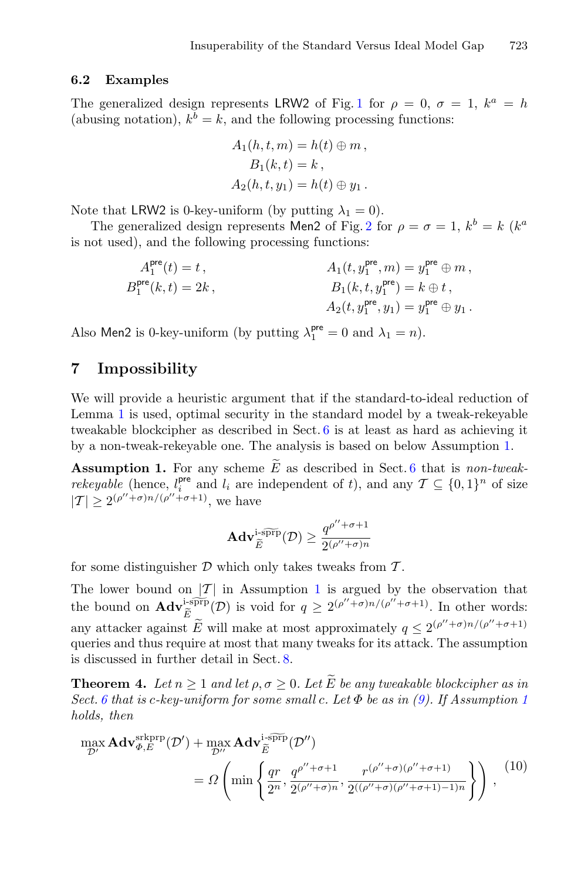#### **6.2 Examples**

The generalized design represents LRW2 of Fig. [1](#page-11-2) for  $\rho = 0$ ,  $\sigma = 1$ ,  $k^a = h$ (abusing notation),  $k^b = k$ , and the following processing functions:

$$
A_1(h, t, m) = h(t) \oplus m,
$$
  
\n
$$
B_1(k, t) = k,
$$
  
\n
$$
A_2(h, t, y_1) = h(t) \oplus y_1.
$$

Note that LRW2 is 0-key-uniform (by putting  $\lambda_1 = 0$ ).

The generalized design represents Men[2](#page-11-4) of Fig. 2 for  $\rho = \sigma = 1$ ,  $k^b = k$  ( $k^a$ ) is not used), and the following processing functions:

$$
A_1^{\text{pre}}(t) = t , \qquad A_1(t, y_1^{\text{pre}}, m) = y_1^{\text{pre}} \oplus m ,
$$
  
\n
$$
B_1^{\text{pre}}(k, t) = 2k , \qquad B_1(k, t, y_1^{\text{pre}}) = k \oplus t ,
$$
  
\n
$$
A_2(t, y_1^{\text{pre}}, y_1) = y_1^{\text{pre}} \oplus y_1 .
$$

Also Men2 is 0-key-uniform (by putting  $\lambda_1^{\text{pre}} = 0$  and  $\lambda_1 = n$ ).

### <span id="page-15-0"></span>**7 Impossibility**

We will provide a heuristic argument that if the standard-to-ideal reduction of Lemma [1](#page-7-0) is used, optimal security in the standard model by a tweak-rekeyable tweakable blockcipher as described in Sect. [6](#page-13-0) is at least as hard as achieving it by a non-tweak-rekeyable one. The analysis is based on below Assumption [1.](#page-15-1) We will provide a heuristic argument that if the standard-to-ideal reduction of<br>Lemma 1 is used, optimal security in the standard model by a tweak-rekeyable<br>tweakable blockcipher as described in Sect. [6](#page-13-0) is at least as har

*rekeyable* (hence,  $l_i^{\text{pre}}$  and  $l_i$  are independent of t), and any  $\mathcal{T} \subseteq \{0, 1\}^n$  of size  $|T| \geq 2^{(\rho'' + \sigma)n/(\rho'' + \sigma + 1)},$  we have<br> $\mathbf{Adv}_{\widetilde{\sigma}}^{\text{isppf}}$ 

<span id="page-15-1"></span>e have  
 
$$
\mathbf{Adv}_{\widetilde{E}}^{\text{isprp}}(\mathcal{D}) \ge \frac{q^{\rho''+\sigma+1}}{2^{(\rho''+\sigma)n}}
$$

for some distinguisher  $\mathcal D$  which only takes tweaks from  $\mathcal T$ .

The lower bound on  $|T|$  in Assumption [1](#page-15-1) is argued by the observation that for some distinguisher  $\mathcal{I}$ <br>The lower bound on  $\frac{1}{\mathcal{I}}$ <br>the bound on  $\mathbf{Adv}_{\widetilde{E}}^{\text{imp}}$ EXECT D which only takes twell<br>on  $|T|$  in Assumption 1 is a<br>i-sprp(D) is void for  $q \geq 2^{(\rho')\ell}$  $\frac{(\rho''+\sigma+1)}{\sigma}$ . In other words: for some distinguisher<br>The lower bound on  $|\text{the bound on } \text{Adv}_{\tilde{E}}^{\text{isph}}$ <br>any attacker against  $\tilde{E}$ E will make at most approximately  $q \leq 2^{(\rho''+\sigma)n/(\rho''+\sigma+1)}$ queries and thus require at most that many tweaks for its attack. The assumption is discussed in further detail in Sect. [8.](#page-19-0) the bound on  $\mathbf{Adv}_{\widetilde{E}}^{\text{1-3} \text{PD}}(\mathcal{D})$  is void for  $q \geq 2$ <br>any attacker against  $\widetilde{E}$  will make at most app<br>queries and thus require at most that many twe<br>is discussed in further detail in Sect. 8.<br>**Theorem** 

<span id="page-15-3"></span><span id="page-15-2"></span> $bd$  let  $\rho, \sigma \geq 0$ . Let  $E$  be any tweakable blockcipher as in *Sect. [6](#page-13-0) that is c-key-uniform for some small c. Let*  $\Phi$  *be as in [\(9\)](#page-14-1). If Assumption [1](#page-15-1)*<br> *holds, then*<br>  $\max_{\Phi, E} \mathbf{Adv}_{\Phi, E}^{\text{srkppp}}(\mathcal{D}') + \max_{\mathcal{D}'_{\mathcal{L}}} \mathbf{Adv}_{\widetilde{E}}^{\text{srpp}}(\mathcal{D}'')$ *holds, then*  $\begin{align} \frac{\text{i-} \widehat{\text{supp}}}{\widetilde{E}}(\mathcal{D}'') \end{align}$ 

**theorem 4.** Let 
$$
n \ge 1
$$
 and let  $\rho, \sigma \ge 0$ . Let *E* be any two  
ect. 6 that is c-key-uniform for some small *c*. Let  $\Phi$  be as in (9). If Assumption 1  
olds, then  

$$
\max_{\mathcal{D}'} \mathbf{Adv}_{\Phi,E}^{\text{stkprp}}(\mathcal{D}') + \max_{\mathcal{D}''} \mathbf{Adv}_{\widetilde{E}}^{\text{stprp}}(\mathcal{D}'')
$$

$$
= \Omega \left( \min \left\{ \frac{qr}{2^n}, \frac{q^{\rho''+\sigma+1}}{2^{(\rho''+\sigma)n}}, \frac{r^{(\rho''+\sigma)(\rho''+\sigma+1)}}{2^{((\rho''+\sigma)(\rho''+\sigma+1)-1)n}} \right\} \right),
$$
(10)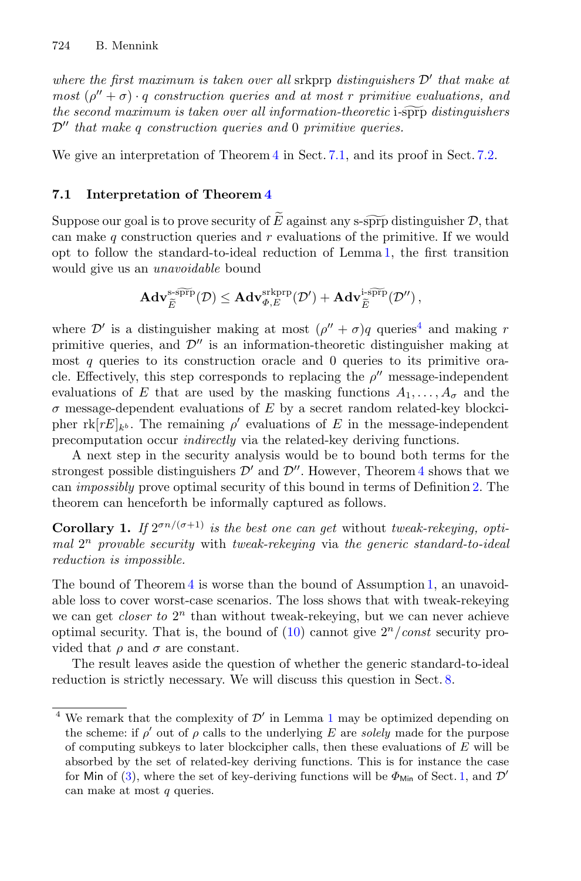*where the first maximum is taken over all* srkprp *distinguishers*  $D'$  *that make at most*  $(\rho'' + \sigma) \cdot q$  *construction queries and at most r primitive evaluations, and the second maximum is taken over all information-theoretic i-sprp distinguishers there the first maximum is taken over all srkprp distinguishers*  $D'$  *that make at most*  $(\rho'' + \sigma) \cdot q$  *construction queries and at most r primitive evaluations, and the second maximum is taken over all information-theor*  $\mathcal{D}''$  that make q construction queries and 0 primitive queries.

We give an interpretation of Theorem [4](#page-15-2) in Sect. [7.1,](#page-16-0) and its proof in Sect. [7.2.](#page-17-0)

# <span id="page-16-0"></span>**7.1 Interpretation of Theorem [4](#page-15-2)**

We give an interpretation of Theorem 4 in Sect. 7.1, and its proof in Sect. 7.2.<br> **7.1** Interpretation of Theorem 4<br>
Suppose our goal is to prove security of  $\widetilde{E}$  against any s-sprp distinguisher  $\mathcal{D}$ , that can make q construction queries and  $r$  evaluations of the primitive. If we would opt to follow the standard-to-ideal reduction of Lemma [1,](#page-7-0) the first transition<br>would give us an *unavoidable* bound<br> $Ad\mathbf{v}_{\widetilde{E}}^{\text{ss}\widetilde{\text{prp}}}(\mathcal{D}) \leq Ad\mathbf{v}_{\Phi,E}^{\text{sk}\text{prp}}(\mathcal{D}') + Ad\mathbf{v}_{\widetilde{E}}^{\text{ss}\widetilde{\text{prp}}}(\mathcal{D}'')$ would give us an *unavoidable* bound he standard-to-ideal reduce<br>
in unavoidable bound<br>  $\mathbf{Adv}_{\widetilde{E}}^{\text{s-sprp}}(\mathcal{D}) \leq \mathbf{Adv}_{\varPhi,E}^{\text{srkprp}}$ 

$$
\begin{aligned} & \text{and } \textit{unavoidable bound}\\ & \mathbf{Adv}_{\widetilde{E}}^{\text{s-s}\widetilde{\text{prp}}}(\mathcal{D}) \leq \mathbf{Adv}_{\varPhi,E}^{\text{skprp}}(\mathcal{D}') + \mathbf{Adv}_{\widetilde{E}}^{\text{i-s}\widetilde{\text{prp}}}(\mathcal{D}'')\,, \end{aligned}
$$

where  $\mathcal{D}'$  is a distinguisher making at most  $(\rho'' + \sigma)q$  queries<sup>[4](#page-16-1)</sup> and making r primitive queries, and  $\mathcal{D}''$  is an information-theoretic distinguisher making at most  $q$  queries to its construction oracle and  $0$  queries to its primitive oracle. Effectively, this step corresponds to replacing the  $\rho''$  message-independent evaluations of E that are used by the masking functions  $A_1, \ldots, A_\sigma$  and the  $\sigma$  message-dependent evaluations of E by a secret random related-key blockcipher  $\text{rk}[rE]_{k^b}$ . The remaining  $\rho'$  evaluations of E in the message-independent precomputation occur *indirectly* via the related-key deriving functions.

A next step in the security analysis would be to bound both terms for the strongest possible distinguishers  $\mathcal{D}'$  and  $\mathcal{D}''$ . However, Theorem [4](#page-15-2) shows that we can *impossibly* prove optimal security of this bound in terms of Definition [2.](#page-8-2) The theorem can henceforth be informally captured as follows.

**Corollary 1.** *If*  $2^{\sigma n/(\sigma+1)}$  *is the best one can get* without *tweak-rekeying, optimal* 2<sup>n</sup> *provable security* with *tweak-rekeying* via *the generic standard-to-ideal reduction is impossible.*

The bound of Theorem [4](#page-15-2) is worse than the bound of Assumption [1,](#page-15-1) an unavoidable loss to cover worst-case scenarios. The loss shows that with tweak-rekeying we can get *closer to*  $2^n$  than without tweak-rekeying, but we can never achieve optimal security. That is, the bound of  $(10)$  cannot give  $2<sup>n</sup>/const$  security provided that  $\rho$  and  $\sigma$  are constant.

The result leaves aside the question of whether the generic standard-to-ideal reduction is strictly necessary. We will discuss this question in Sect. [8.](#page-19-0)

<span id="page-16-1"></span><sup>&</sup>lt;sup>4</sup> We remark that the complexity of  $\mathcal{D}'$  in Lemma [1](#page-7-0) may be optimized depending on the scheme: if  $\rho'$  out of  $\rho$  calls to the underlying E are *solely* made for the purpose of computing subkeys to later blockcipher calls, then these evaluations of  $E$  will be absorbed by the set of related-key deriving functions. This is for instance the case for Min of [\(3\)](#page-1-0), where the set of key-deriving functions will be  $\Phi_{\text{Min}}$  of Sect. [1,](#page-0-0) and  $\mathcal{D}'$ can make at most  $q$  queries.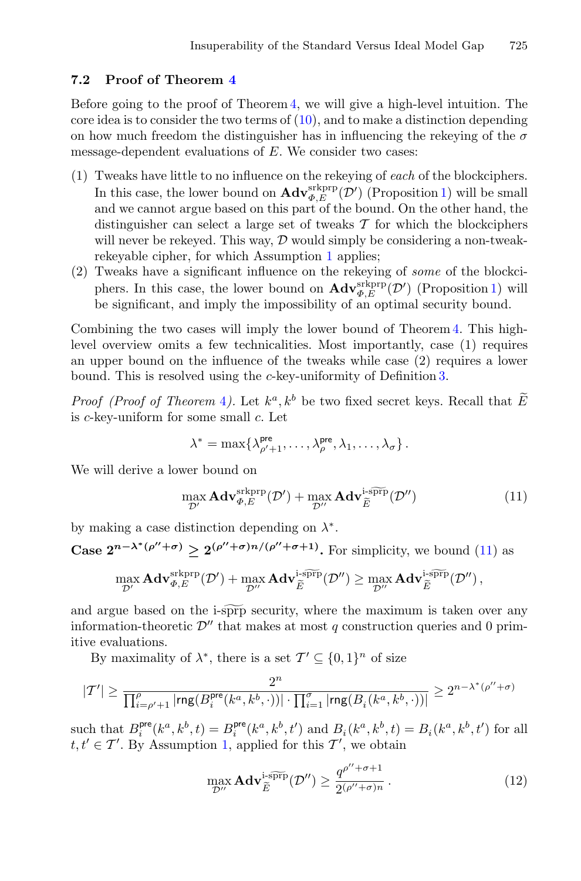#### <span id="page-17-0"></span>**7.2 Proof of Theorem [4](#page-15-2)**

Before going to the proof of Theorem [4,](#page-15-2) we will give a high-level intuition. The core idea is to consider the two terms of  $(10)$ , and to make a distinction depending on how much freedom the distinguisher has in influencing the rekeying of the  $\sigma$ message-dependent evaluations of E. We consider two cases:

- (1) Tweaks have little to no influence on the rekeying of *each* of the blockciphers. In this case, the lower bound on  $\mathbf{Adv}_{\Phi,E}^{\text{srkprp}}(\mathcal{D}')$  (Proposition [1\)](#page-8-0) will be small and we cannot argue based on this part of the bound. On the other hand, the distinguisher can select a large set of tweaks  $\mathcal T$  for which the blockciphers will never be rekeyed. This way,  $\mathcal D$  would simply be considering a non-tweakrekeyable cipher, for which Assumption [1](#page-15-1) applies;
- (2) Tweaks have a significant influence on the rekeying of *some* of the blockciphers. In this case, the lower bound on  $\mathbf{Adv}_{\varPhi,E}^{\text{skprp}}(\mathcal{D}')$  (Proposition [1\)](#page-8-0) will be significant, and imply the impossibility of an optimal security bound.

Combining the two cases will imply the lower bound of Theorem [4.](#page-15-2) This highlevel overview omits a few technicalities. Most importantly, case (1) requires an upper bound on the influence of the tweaks while case (2) requires a lower bound. This is resolved using the c-key-uniformity of Definition [3.](#page-14-2) Combining the two cases will imply the lower bound of Theorem [4](#page-15-2). This high-<br>level overview omits a few technicalities. Most importantly, case (1) requires<br>an upper bound on the influence of the tweaks while case (2) requi

is c-key-uniform for some small c. Let

<span id="page-17-1"></span>
$$
\lambda^* = \max \{ \lambda_{\rho'+1}^{\text{pre}}, \ldots, \lambda_{\rho}^{\text{pre}}, \lambda_1, \ldots, \lambda_{\sigma} \}.
$$

We will derive a lower bound on

$$
\Lambda = \max_{\rho'} \{\Lambda_{\rho'+1}, \dots, \Lambda_{\rho}, \Lambda_1, \dots, \Lambda_{\sigma}\}.
$$
\nwe would on

\n
$$
\max_{\mathcal{D}'} \mathbf{Adv}_{\Phi,E}^{\text{srkprp}}(\mathcal{D}') + \max_{\mathcal{D}''} \mathbf{Adv}_{\widetilde{E}}^{\text{irp}}(\mathcal{D}'')
$$
\n(11)

by making a case distinction depending on  $\lambda^*$ .

Case  $2^{n-\lambda^*(\rho''+\sigma)} \geq 2^{(\rho''+\sigma)n/(\rho''+\sigma+1)}$ . For simplicity, we bound [\(11\)](#page-17-1) as

by making a case distortion depending on 
$$
\lambda
$$
.  
\nCase  $2^{n-\lambda^*(\rho''+\sigma)} \geq 2^{(\rho''+\sigma)n/(\rho''+\sigma+1)}$ . For simplicity, we bound (11) as  
\n
$$
\max_{\mathcal{D}'} \mathbf{Adv}_{\Phi,E}^{\text{skprp}}(\mathcal{D}') + \max_{\mathcal{D}''} \mathbf{Adv}_{\widetilde{E}}^{\text{isprp}}(\mathcal{D}'') \geq \max_{\mathcal{D}''} \mathbf{Adv}_{\widetilde{E}}^{\text{isprp}}(\mathcal{D}''),
$$
\nand argue based on the i-sprp security, where the maximum is taken over any

information-theoretic  $\mathcal{D}''$  that makes at most q construction queries and 0 primitive evaluations. <sup>1</sup>-sp<sub>1</sub>p security, w<br>
<sup>7</sup> that makes at m<br>
, there is a set  $T'$ <br>  $\frac{2^n}{i^e(k^a, k^b, \cdot)) | \cdot \prod_{i=1}^{\sigma}}$ 

By maximality of  $\lambda^*$ , there is a set  $\mathcal{T}' \subseteq \{0,1\}^n$  of size

$$
|{\mathcal T}'|\geq \frac{2^n}{\prod_{i=\rho'+1}^\rho|\mathrm{rng}(B_i^\mathrm{pre}(k^a,k^b,\cdot))|\cdot\prod_{i=1}^\sigma|\mathrm{rng}(B_i(k^a,k^b,\cdot))|}\geq 2^{n-\lambda^*(\rho''+\sigma)}
$$

such that  $B_i^{\text{pre}}(k^a, k^b, t) = B_i^{\text{pre}}(k^a, k^b, t')$  and  $B_i(k^a, k^b, t) = B_i(k^a, k^b, t')$  for all such that  $B_i^{\dagger}$   $(k^{\dagger}, k^{\dagger}, t) = B_i^{\dagger}$   $(k^{\dagger}, k^{\dagger}, t)$  and  $B_i(k^{\dagger}, k^{\dagger}, t)$ ;<br>  $t, t' \in \mathcal{T}'$ . By Assumption [1,](#page-15-1) applied for this  $\mathcal{T}'$ , we obtain<br>  $\max_{\mathcal{D}''} \mathbf{Adv}_{\widetilde{E}}^{1 \text{–SPTP}}(\mathcal{D}'') \geq \frac{q^{\rho'' + \sigma + 1}}{2(\rho''$ 

<span id="page-17-2"></span>
$$
\max_{\mathcal{D}''} \mathbf{Adv}_{\widetilde{E}}^{\text{i-s}\widetilde{\text{prp}}}(\mathcal{D}'') \ge \frac{q^{\rho'' + \sigma + 1}}{2^{(\rho'' + \sigma)n}}.
$$
\n(12)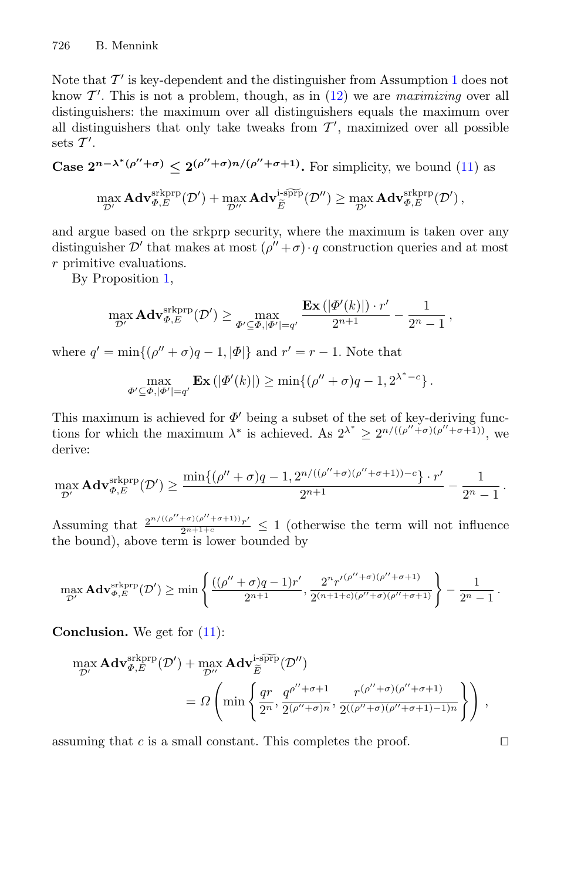Note that  $\mathcal{T}'$  is key-dependent and the distinguisher from Assumption [1](#page-15-1) does not know  $\mathcal{T}'$ . This is not a problem, though, as in  $(12)$  we are *maximizing* over all distinguishers: the maximum over all distinguishers equals the maximum over all distinguishers that only take tweaks from  $\mathcal{T}'$ , maximized over all possible sets  $\mathcal{T}'$ .

**Case**  $2^{n-\lambda^*(\rho''+\sigma)} \leq 2^{(\rho''+\sigma)n/(\rho''+\sigma+1)}$ **.** For simplicity, we bound [\(11\)](#page-17-1) as

$$
n-\lambda^*(\rho''+\sigma) \leq 2^{(\rho''+\sigma)n/(\rho''+\sigma+1)} \text{. For simplicity, we bound (1)}
$$
  

$$
\max_{\mathcal{D}'} \mathbf{Adv}_{\Phi,E}^{\text{srkprp}}(\mathcal{D}') + \max_{\mathcal{D}''} \mathbf{Adv}_{\widetilde{E}}^{\text{rspfp}}(\mathcal{D}'') \geq \max_{\mathcal{D}'} \mathbf{Adv}_{\Phi,E}^{\text{srkprp}}(\mathcal{D}') ,
$$

and argue based on the srkprp security, where the maximum is taken over any distinguisher  $\mathcal{D}'$  that makes at most  $(\rho'' + \sigma) \cdot q$  construction queries and at most r primitive evaluations.

By Proposition [1,](#page-8-0)

$$
\max_{\mathcal{D}'}\mathbf{Adv}_{\Phi,E}^{\text{srkprp}}(\mathcal{D}')\geq \max_{\varPhi'\subseteq\Phi,|\varPhi'|=q'}\frac{\mathbf{Ex}\left(|\varPhi'(k)|\right)\cdot r'}{2^{n+1}}-\frac{1}{2^n-1}\,,
$$

where  $q' = \min\{(\rho'' + \sigma)q - 1, |\Phi|\}\$  and  $r' = r - 1$ . Note that

$$
\max_{\Phi' \subseteq \Phi, |\Phi'|=q'} \mathbf{Ex}\left(|\Phi'(k)|\right) \ge \min\{(\rho''+\sigma)q-1, 2^{\lambda^*-c}\}.
$$

This maximum is achieved for  $\Phi'$  being a subset of the set of key-deriving functions for which the maximum  $\lambda^*$  is achieved. As  $2^{\lambda^*} \geq 2^{n/((\rho'' + \sigma)(\rho'' + \sigma + 1))}$ , we derive:

$$
\max_{\mathcal{D}'}\mathbf{Adv}_{\varPhi,E}^{\mathrm{skprp}}(\mathcal{D}')\geq \frac{\min\{(\rho''+\sigma)q-1,2^{n/((\rho''+\sigma)(\rho''+\sigma+1))-c}\}\cdot r'}{2^{n+1}}-\frac{1}{2^n-1}\,.
$$

Assuming that  $\frac{2^{n/((\rho''+\sigma)(\rho''+\sigma+1))}r'}{2^{n+1+\epsilon}} \leq 1$  (otherwise the term will not influence the bound), above term is lower bounded by

$$
\max_{\mathcal{D}'} \mathbf{Adv}_{\varPhi,E}^{\text{srkprp}}(\mathcal{D}') \ge \min \left\{ \frac{((\rho'' + \sigma)q - 1)r'}{2^{n+1}}, \frac{2^n r'^{(\rho'' + \sigma)(\rho'' + \sigma + 1)}}{2^{(n+1+c)(\rho'' + \sigma)(\rho'' + \sigma + 1)}} \right\} - \frac{1}{2^n - 1}.
$$

**Conclusion.** We get for  $(11)$ :

inclusion. We get for (11):

\n
$$
\max_{\mathcal{D}'} \mathbf{Adv}_{\Phi,E}^{\text{skprp}}(\mathcal{D}') + \max_{\mathcal{D}''} \mathbf{Adv}_{\widetilde{E}}^{\text{1-sprp}}(\mathcal{D}'')
$$
\n
$$
= \Omega \left( \min \left\{ \frac{qr}{2^n}, \frac{q^{\rho''+\sigma+1}}{2^{(\rho''+\sigma)n}}, \frac{r^{(\rho''+\sigma)(\rho''+\sigma+1)}}{2^{((\rho''+\sigma)(\rho''+\sigma+1)-1)n}} \right\} \right),
$$

assuming that c is a small constant. This completes the proof.  $\Box$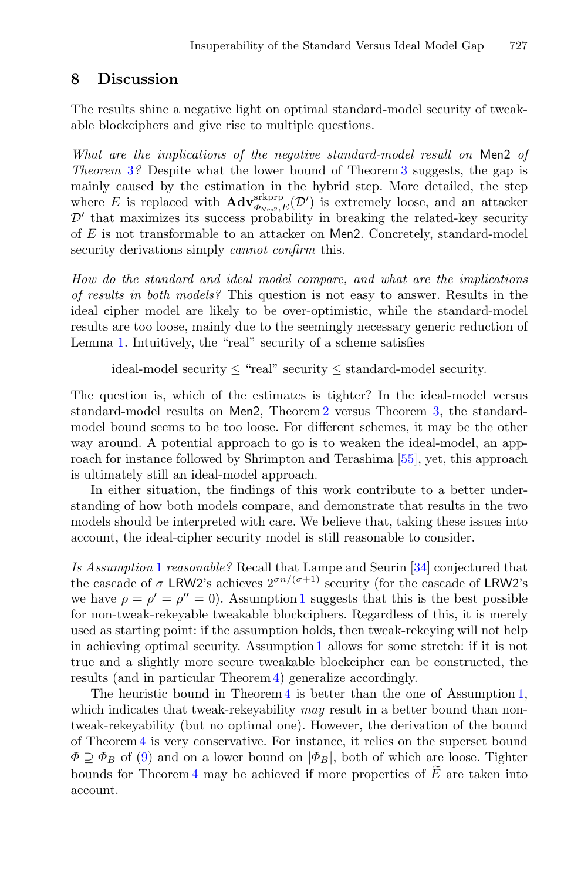# <span id="page-19-0"></span>**8 Discussion**

The results shine a negative light on optimal standard-model security of tweakable blockciphers and give rise to multiple questions.

*What are the implications of the negative standard-model result on* Men2 *of Theorem* [3](#page-12-0)*?* Despite what the lower bound of Theorem [3](#page-12-0) suggests, the gap is mainly caused by the estimation in the hybrid step. More detailed, the step where E is replaced with  $\mathbf{Adv}_{\Phi_{\mathsf{M}}^{exp}(\mathcal{D}')}^{srkprp}$  is extremely loose, and an attacker  $\mathcal{D}'$  that maximizes its success probability in breaking the related-key security of E is not transformable to an attacker on Men2. Concretely, standard-model security derivations simply *cannot confirm* this.

*How do the standard and ideal model compare, and what are the implications of results in both models?* This question is not easy to answer. Results in the ideal cipher model are likely to be over-optimistic, while the standard-model results are too loose, mainly due to the seemingly necessary generic reduction of Lemma [1.](#page-7-0) Intuitively, the "real" security of a scheme satisfies

ideal-model security  $\leq$  "real" security  $\leq$  standard-model security.

The question is, which of the estimates is tighter? In the ideal-model versus standard-model results on Men2, Theorem [2](#page-11-5) versus Theorem [3,](#page-12-0) the standardmodel bound seems to be too loose. For different schemes, it may be the other way around. A potential approach to go is to weaken the ideal-model, an approach for instance followed by Shrimpton and Terashima [\[55](#page-23-10)], yet, this approach is ultimately still an ideal-model approach.

In either situation, the findings of this work contribute to a better understanding of how both models compare, and demonstrate that results in the two models should be interpreted with care. We believe that, taking these issues into account, the ideal-cipher security model is still reasonable to consider.

*Is Assumption* [1](#page-15-1) *reasonable?* Recall that Lampe and Seurin [\[34](#page-22-2)] conjectured that the cascade of  $\sigma$  LRW2's achieves  $2^{\sigma n/(\sigma+1)}$  security (for the cascade of LRW2's we have  $\rho = \rho' = \rho'' = 0$ . Assumption [1](#page-15-1) suggests that this is the best possible for non-tweak-rekeyable tweakable blockciphers. Regardless of this, it is merely used as starting point: if the assumption holds, then tweak-rekeying will not help in achieving optimal security. Assumption [1](#page-15-1) allows for some stretch: if it is not true and a slightly more secure tweakable blockcipher can be constructed, the results (and in particular Theorem [4\)](#page-15-2) generalize accordingly.

The heuristic bound in Theorem [4](#page-15-2) is better than the one of Assumption [1,](#page-15-1) which indicates that tweak-rekeyability *may* result in a better bound than nontweak-rekeyability (but no optimal one). However, the derivation of the bound of Theorem [4](#page-15-2) is very conservative. For instance, it relies on the superset bound  $\Phi \supseteq \Phi_B$  of [\(9\)](#page-14-1) and on a lower bound on  $|\Phi_B|$ , both of which are loose. Tighter The neuristic bound in Theorem [4](#page-15-2) is better than the one of<br>which indicates that tweak-rekeyability may result in a better b<br>tweak-rekeyability (but no optimal one). However, the derivatio<br>of Theorem 4 is very conservative bounds for Theorem 4 may be achieved if more properties of  $\tilde{E}$  are taken into account.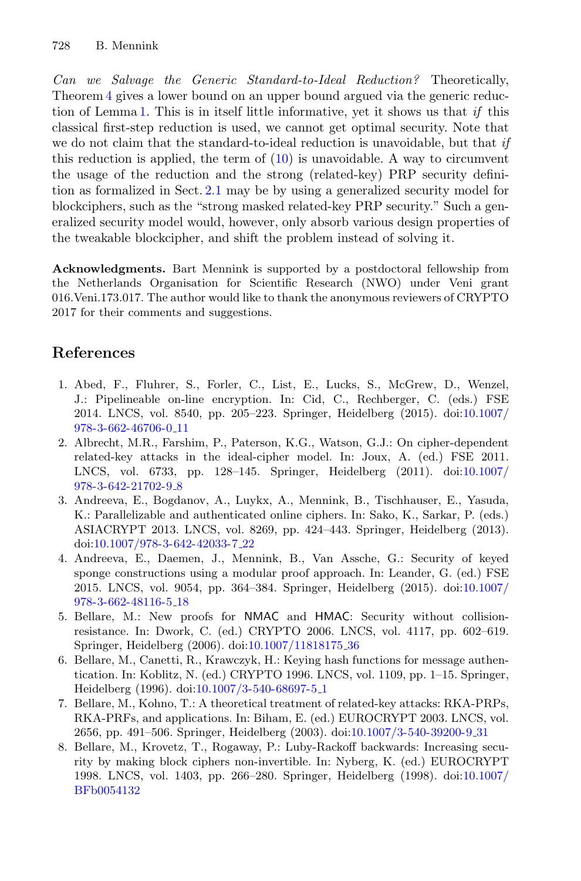*Can we Salvage the Generic Standard-to-Ideal Reduction?* Theoretically, Theorem [4](#page-15-2) gives a lower bound on an upper bound argued via the generic reduction of Lemma [1.](#page-7-0) This is in itself little informative, yet it shows us that *if* this classical first-step reduction is used, we cannot get optimal security. Note that we do not claim that the standard-to-ideal reduction is unavoidable, but that *if* this reduction is applied, the term of  $(10)$  is unavoidable. A way to circumvent the usage of the reduction and the strong (related-key) PRP security definition as formalized in Sect. [2.1](#page-5-1) may be by using a generalized security model for blockciphers, such as the "strong masked related-key PRP security." Such a generalized security model would, however, only absorb various design properties of the tweakable blockcipher, and shift the problem instead of solving it.

**Acknowledgments.** Bart Mennink is supported by a postdoctoral fellowship from the Netherlands Organisation for Scientific Research (NWO) under Veni grant 016.Veni.173.017. The author would like to thank the anonymous reviewers of CRYPTO 2017 for their comments and suggestions.

# **References**

- <span id="page-20-0"></span>1. Abed, F., Fluhrer, S., Forler, C., List, E., Lucks, S., McGrew, D., Wenzel, J.: Pipelineable on-line encryption. In: Cid, C., Rechberger, C. (eds.) FSE 2014. LNCS, vol. 8540, pp. 205–223. Springer, Heidelberg (2015). doi[:10.1007/](http://dx.doi.org/10.1007/978-3-662-46706-0_11) [978-3-662-46706-0](http://dx.doi.org/10.1007/978-3-662-46706-0_11) 11
- <span id="page-20-7"></span>2. Albrecht, M.R., Farshim, P., Paterson, K.G., Watson, G.J.: On cipher-dependent related-key attacks in the ideal-cipher model. In: Joux, A. (ed.) FSE 2011. LNCS, vol. 6733, pp. 128–145. Springer, Heidelberg (2011). doi[:10.1007/](http://dx.doi.org/10.1007/978-3-642-21702-9_8) [978-3-642-21702-9](http://dx.doi.org/10.1007/978-3-642-21702-9_8) 8
- <span id="page-20-1"></span>3. Andreeva, E., Bogdanov, A., Luykx, A., Mennink, B., Tischhauser, E., Yasuda, K.: Parallelizable and authenticated online ciphers. In: Sako, K., Sarkar, P. (eds.) ASIACRYPT 2013. LNCS, vol. 8269, pp. 424–443. Springer, Heidelberg (2013). doi[:10.1007/978-3-642-42033-7](http://dx.doi.org/10.1007/978-3-642-42033-7_22) 22
- <span id="page-20-2"></span>4. Andreeva, E., Daemen, J., Mennink, B., Van Assche, G.: Security of keyed sponge constructions using a modular proof approach. In: Leander, G. (ed.) FSE 2015. LNCS, vol. 9054, pp. 364–384. Springer, Heidelberg (2015). doi[:10.1007/](http://dx.doi.org/10.1007/978-3-662-48116-5_18) [978-3-662-48116-5](http://dx.doi.org/10.1007/978-3-662-48116-5_18) 18
- <span id="page-20-4"></span>5. Bellare, M.: New proofs for NMAC and HMAC: Security without collisionresistance. In: Dwork, C. (ed.) CRYPTO 2006. LNCS, vol. 4117, pp. 602–619. Springer, Heidelberg (2006). doi[:10.1007/11818175](http://dx.doi.org/10.1007/11818175_36) 36
- <span id="page-20-5"></span>6. Bellare, M., Canetti, R., Krawczyk, H.: Keying hash functions for message authentication. In: Koblitz, N. (ed.) CRYPTO 1996. LNCS, vol. 1109, pp. 1–15. Springer, Heidelberg (1996). doi[:10.1007/3-540-68697-5](http://dx.doi.org/10.1007/3-540-68697-5_1) 1
- <span id="page-20-6"></span>7. Bellare, M., Kohno, T.: A theoretical treatment of related-key attacks: RKA-PRPs, RKA-PRFs, and applications. In: Biham, E. (ed.) EUROCRYPT 2003. LNCS, vol. 2656, pp. 491–506. Springer, Heidelberg (2003). doi[:10.1007/3-540-39200-9](http://dx.doi.org/10.1007/3-540-39200-9_31) 31
- <span id="page-20-3"></span>8. Bellare, M., Krovetz, T., Rogaway, P.: Luby-Rackoff backwards: Increasing security by making block ciphers non-invertible. In: Nyberg, K. (ed.) EUROCRYPT 1998. LNCS, vol. 1403, pp. 266–280. Springer, Heidelberg (1998). doi[:10.1007/](http://dx.doi.org/10.1007/BFb0054132) [BFb0054132](http://dx.doi.org/10.1007/BFb0054132)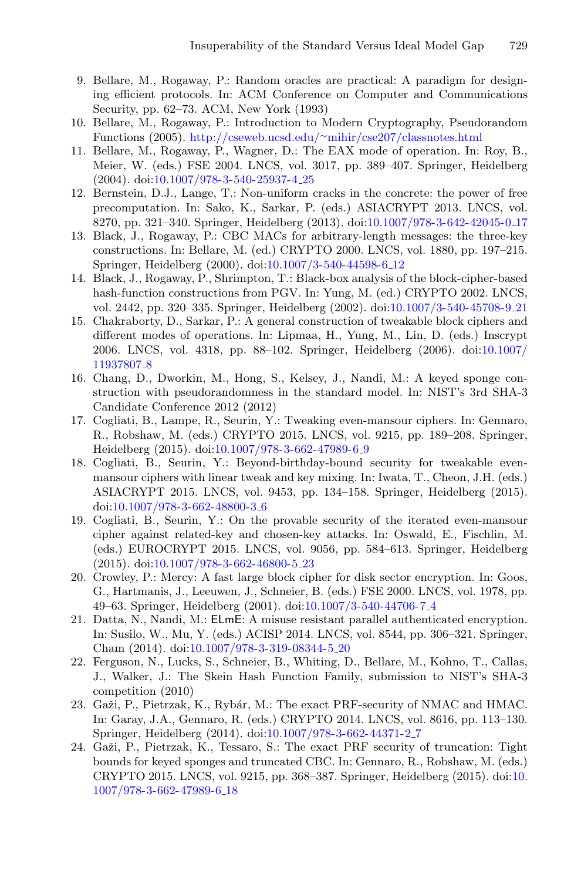- <span id="page-21-12"></span>9. Bellare, M., Rogaway, P.: Random oracles are practical: A paradigm for designing efficient protocols. In: ACM Conference on Computer and Communications Security, pp. 62–73. ACM, New York (1993)
- <span id="page-21-14"></span>10. Bellare, M., Rogaway, P.: Introduction to Modern Cryptography, Pseudorandom Functions (2005). http://cseweb.ucsd.edu/∼[mihir/cse207/classnotes.html](http://cseweb.ucsd.edu/~mihir/cse207/classnotes.html)
- <span id="page-21-1"></span>11. Bellare, M., Rogaway, P., Wagner, D.: The EAX mode of operation. In: Roy, B., Meier, W. (eds.) FSE 2004. LNCS, vol. 3017, pp. 389–407. Springer, Heidelberg (2004). doi[:10.1007/978-3-540-25937-4](http://dx.doi.org/10.1007/978-3-540-25937-4_25) 25
- <span id="page-21-15"></span>12. Bernstein, D.J., Lange, T.: Non-uniform cracks in the concrete: the power of free precomputation. In: Sako, K., Sarkar, P. (eds.) ASIACRYPT 2013. LNCS, vol. 8270, pp. 321–340. Springer, Heidelberg (2013). doi[:10.1007/978-3-642-42045-0](http://dx.doi.org/10.1007/978-3-642-42045-0_17) 17
- <span id="page-21-3"></span>13. Black, J., Rogaway, P.: CBC MACs for arbitrary-length messages: the three-key constructions. In: Bellare, M. (ed.) CRYPTO 2000. LNCS, vol. 1880, pp. 197–215. Springer, Heidelberg (2000). doi[:10.1007/3-540-44598-6](http://dx.doi.org/10.1007/3-540-44598-6_12) 12
- <span id="page-21-13"></span>14. Black, J., Rogaway, P., Shrimpton, T.: Black-box analysis of the block-cipher-based hash-function constructions from PGV. In: Yung, M. (ed.) CRYPTO 2002. LNCS, vol. 2442, pp. 320–335. Springer, Heidelberg (2002). doi[:10.1007/3-540-45708-9](http://dx.doi.org/10.1007/3-540-45708-9_21) 21
- <span id="page-21-0"></span>15. Chakraborty, D., Sarkar, P.: A general construction of tweakable block ciphers and different modes of operations. In: Lipmaa, H., Yung, M., Lin, D. (eds.) Inscrypt 2006. LNCS, vol. 4318, pp. 88–102. Springer, Heidelberg (2006). doi[:10.1007/](http://dx.doi.org/10.1007/11937807_8) [11937807](http://dx.doi.org/10.1007/11937807_8) 8
- <span id="page-21-4"></span>16. Chang, D., Dworkin, M., Hong, S., Kelsey, J., Nandi, M.: A keyed sponge construction with pseudorandomness in the standard model. In: NIST's 3rd SHA-3 Candidate Conference 2012 (2012)
- <span id="page-21-9"></span>17. Cogliati, B., Lampe, R., Seurin, Y.: Tweaking even-mansour ciphers. In: Gennaro, R., Robshaw, M. (eds.) CRYPTO 2015. LNCS, vol. 9215, pp. 189–208. Springer, Heidelberg (2015). doi[:10.1007/978-3-662-47989-6](http://dx.doi.org/10.1007/978-3-662-47989-6_9) 9
- <span id="page-21-10"></span>18. Cogliati, B., Seurin, Y.: Beyond-birthday-bound security for tweakable evenmansour ciphers with linear tweak and key mixing. In: Iwata, T., Cheon, J.H. (eds.) ASIACRYPT 2015. LNCS, vol. 9453, pp. 134–158. Springer, Heidelberg (2015). doi[:10.1007/978-3-662-48800-3](http://dx.doi.org/10.1007/978-3-662-48800-3_6) 6
- <span id="page-21-11"></span>19. Cogliati, B., Seurin, Y.: On the provable security of the iterated even-mansour cipher against related-key and chosen-key attacks. In: Oswald, E., Fischlin, M. (eds.) EUROCRYPT 2015. LNCS, vol. 9056, pp. 584–613. Springer, Heidelberg (2015). doi[:10.1007/978-3-662-46800-5](http://dx.doi.org/10.1007/978-3-662-46800-5_23) 23
- <span id="page-21-7"></span>20. Crowley, P.: Mercy: A fast large block cipher for disk sector encryption. In: Goos, G., Hartmanis, J., Leeuwen, J., Schneier, B. (eds.) FSE 2000. LNCS, vol. 1978, pp. 49–63. Springer, Heidelberg (2001). doi[:10.1007/3-540-44706-7](http://dx.doi.org/10.1007/3-540-44706-7_4) 4
- <span id="page-21-2"></span>21. Datta, N., Nandi, M.: ELmE: A misuse resistant parallel authenticated encryption. In: Susilo, W., Mu, Y. (eds.) ACISP 2014. LNCS, vol. 8544, pp. 306–321. Springer, Cham (2014). doi[:10.1007/978-3-319-08344-5](http://dx.doi.org/10.1007/978-3-319-08344-5_20) 20
- <span id="page-21-8"></span>22. Ferguson, N., Lucks, S., Schneier, B., Whiting, D., Bellare, M., Kohno, T., Callas, J., Walker, J.: The Skein Hash Function Family, submission to NIST's SHA-3 competition (2010)
- <span id="page-21-6"></span>23. Gaži, P., Pietrzak, K., Rybár, M.: The exact PRF-security of NMAC and HMAC. In: Garay, J.A., Gennaro, R. (eds.) CRYPTO 2014. LNCS, vol. 8616, pp. 113–130. Springer, Heidelberg (2014). doi[:10.1007/978-3-662-44371-2](http://dx.doi.org/10.1007/978-3-662-44371-2_7) 7
- <span id="page-21-5"></span>24. Gaži, P., Pietrzak, K., Tessaro, S.: The exact PRF security of truncation: Tight bounds for keyed sponges and truncated CBC. In: Gennaro, R., Robshaw, M. (eds.) CRYPTO 2015. LNCS, vol. 9215, pp. 368–387. Springer, Heidelberg (2015). doi[:10.](http://dx.doi.org/10.1007/978-3-662-47989-6_18) [1007/978-3-662-47989-6](http://dx.doi.org/10.1007/978-3-662-47989-6_18) 18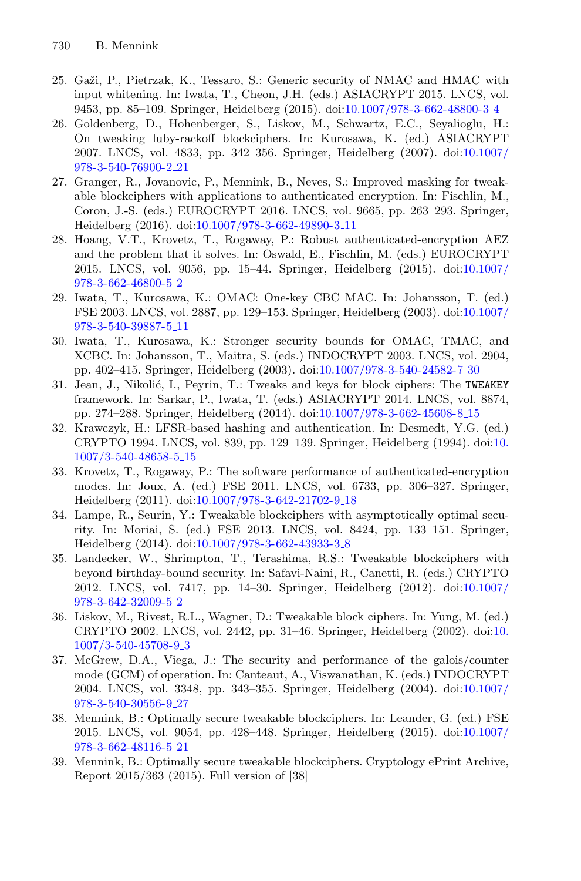- <span id="page-22-10"></span>25. Gaži, P., Pietrzak, K., Tessaro, S.: Generic security of NMAC and HMAC with input whitening. In: Iwata, T., Cheon, J.H. (eds.) ASIACRYPT 2015. LNCS, vol. 9453, pp. 85–109. Springer, Heidelberg (2015). doi[:10.1007/978-3-662-48800-3](http://dx.doi.org/10.1007/978-3-662-48800-3_4) 4
- <span id="page-22-12"></span>26. Goldenberg, D., Hohenberger, S., Liskov, M., Schwartz, E.C., Seyalioglu, H.: On tweaking luby-rackoff blockciphers. In: Kurosawa, K. (ed.) ASIACRYPT 2007. LNCS, vol. 4833, pp. 342–356. Springer, Heidelberg (2007). doi[:10.1007/](http://dx.doi.org/10.1007/978-3-540-76900-2_21) [978-3-540-76900-2](http://dx.doi.org/10.1007/978-3-540-76900-2_21) 21
- <span id="page-22-13"></span>27. Granger, R., Jovanovic, P., Mennink, B., Neves, S.: Improved masking for tweakable blockciphers with applications to authenticated encryption. In: Fischlin, M., Coron, J.-S. (eds.) EUROCRYPT 2016. LNCS, vol. 9665, pp. 263–293. Springer, Heidelberg (2016). doi[:10.1007/978-3-662-49890-3](http://dx.doi.org/10.1007/978-3-662-49890-3_11) 11
- <span id="page-22-5"></span>28. Hoang, V.T., Krovetz, T., Rogaway, P.: Robust authenticated-encryption AEZ and the problem that it solves. In: Oswald, E., Fischlin, M. (eds.) EUROCRYPT 2015. LNCS, vol. 9056, pp. 15–44. Springer, Heidelberg (2015). doi[:10.1007/](http://dx.doi.org/10.1007/978-3-662-46800-5_2) [978-3-662-46800-5](http://dx.doi.org/10.1007/978-3-662-46800-5_2) 2
- <span id="page-22-8"></span>29. Iwata, T., Kurosawa, K.: OMAC: One-key CBC MAC. In: Johansson, T. (ed.) FSE 2003. LNCS, vol. 2887, pp. 129–153. Springer, Heidelberg (2003). doi[:10.1007/](http://dx.doi.org/10.1007/978-3-540-39887-5_11) [978-3-540-39887-5](http://dx.doi.org/10.1007/978-3-540-39887-5_11) 11
- <span id="page-22-9"></span>30. Iwata, T., Kurosawa, K.: Stronger security bounds for OMAC, TMAC, and XCBC. In: Johansson, T., Maitra, S. (eds.) INDOCRYPT 2003. LNCS, vol. 2904, pp. 402–415. Springer, Heidelberg (2003). doi[:10.1007/978-3-540-24582-7](http://dx.doi.org/10.1007/978-3-540-24582-7_30) 30
- <span id="page-22-11"></span>31. Jean, J., Nikolić, I., Peyrin, T.: Tweaks and keys for block ciphers: The TWEAKEY framework. In: Sarkar, P., Iwata, T. (eds.) ASIACRYPT 2014. LNCS, vol. 8874, pp. 274–288. Springer, Heidelberg (2014). doi[:10.1007/978-3-662-45608-8](http://dx.doi.org/10.1007/978-3-662-45608-8_15) 15
- <span id="page-22-14"></span>32. Krawczyk, H.: LFSR-based hashing and authentication. In: Desmedt, Y.G. (ed.) CRYPTO 1994. LNCS, vol. 839, pp. 129–139. Springer, Heidelberg (1994). doi[:10.](http://dx.doi.org/10.1007/3-540-48658-5_15) [1007/3-540-48658-5](http://dx.doi.org/10.1007/3-540-48658-5_15) 15
- <span id="page-22-6"></span>33. Krovetz, T., Rogaway, P.: The software performance of authenticated-encryption modes. In: Joux, A. (ed.) FSE 2011. LNCS, vol. 6733, pp. 306–327. Springer, Heidelberg (2011). doi[:10.1007/978-3-642-21702-9](http://dx.doi.org/10.1007/978-3-642-21702-9_18) 18
- <span id="page-22-2"></span>34. Lampe, R., Seurin, Y.: Tweakable blockciphers with asymptotically optimal security. In: Moriai, S. (ed.) FSE 2013. LNCS, vol. 8424, pp. 133–151. Springer, Heidelberg (2014). doi[:10.1007/978-3-662-43933-3](http://dx.doi.org/10.1007/978-3-662-43933-3_8) 8
- <span id="page-22-1"></span>35. Landecker, W., Shrimpton, T., Terashima, R.S.: Tweakable blockciphers with beyond birthday-bound security. In: Safavi-Naini, R., Canetti, R. (eds.) CRYPTO 2012. LNCS, vol. 7417, pp. 14–30. Springer, Heidelberg (2012). doi[:10.1007/](http://dx.doi.org/10.1007/978-3-642-32009-5_2) [978-3-642-32009-5](http://dx.doi.org/10.1007/978-3-642-32009-5_2) 2
- <span id="page-22-0"></span>36. Liskov, M., Rivest, R.L., Wagner, D.: Tweakable block ciphers. In: Yung, M. (ed.) CRYPTO 2002. LNCS, vol. 2442, pp. 31–46. Springer, Heidelberg (2002). doi[:10.](http://dx.doi.org/10.1007/3-540-45708-9_3) [1007/3-540-45708-9](http://dx.doi.org/10.1007/3-540-45708-9_3) 3
- <span id="page-22-7"></span>37. McGrew, D.A., Viega, J.: The security and performance of the galois/counter mode (GCM) of operation. In: Canteaut, A., Viswanathan, K. (eds.) INDOCRYPT 2004. LNCS, vol. 3348, pp. 343–355. Springer, Heidelberg (2004). doi[:10.1007/](http://dx.doi.org/10.1007/978-3-540-30556-9_27) [978-3-540-30556-9](http://dx.doi.org/10.1007/978-3-540-30556-9_27) 27
- <span id="page-22-3"></span>38. Mennink, B.: Optimally secure tweakable blockciphers. In: Leander, G. (ed.) FSE 2015. LNCS, vol. 9054, pp. 428–448. Springer, Heidelberg (2015). doi[:10.1007/](http://dx.doi.org/10.1007/978-3-662-48116-5_21) [978-3-662-48116-5](http://dx.doi.org/10.1007/978-3-662-48116-5_21) 21
- <span id="page-22-4"></span>39. Mennink, B.: Optimally secure tweakable blockciphers. Cryptology ePrint Archive, Report 2015/363 (2015). Full version of [38]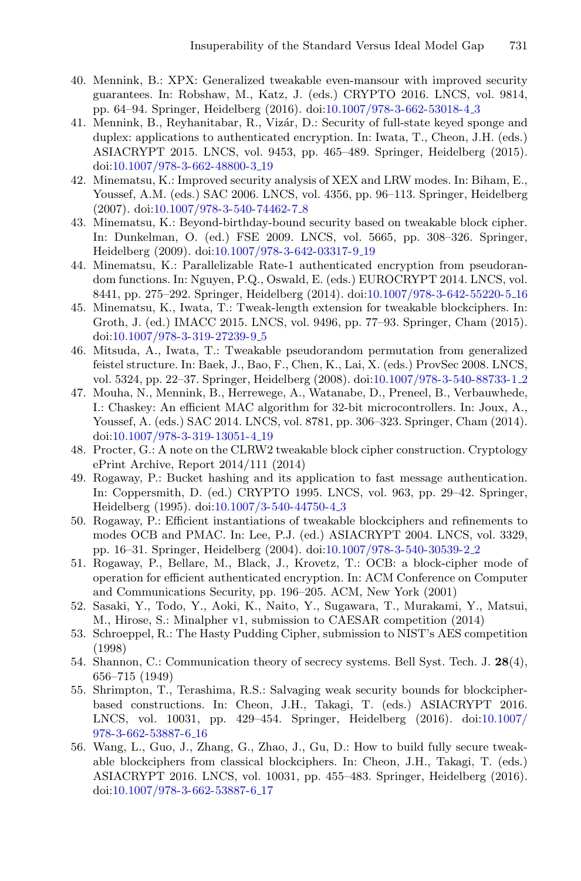- <span id="page-23-14"></span>40. Mennink, B.: XPX: Generalized tweakable even-mansour with improved security guarantees. In: Robshaw, M., Katz, J. (eds.) CRYPTO 2016. LNCS, vol. 9814, pp. 64–94. Springer, Heidelberg (2016). doi[:10.1007/978-3-662-53018-4](http://dx.doi.org/10.1007/978-3-662-53018-4_3) 3
- <span id="page-23-8"></span>41. Mennink, B., Reyhanitabar, R., Vizár, D.: Security of full-state keyed sponge and duplex: applications to authenticated encryption. In: Iwata, T., Cheon, J.H. (eds.) ASIACRYPT 2015. LNCS, vol. 9453, pp. 465–489. Springer, Heidelberg (2015). doi[:10.1007/978-3-662-48800-3](http://dx.doi.org/10.1007/978-3-662-48800-3_19) 19
- <span id="page-23-1"></span>42. Minematsu, K.: Improved security analysis of XEX and LRW modes. In: Biham, E., Youssef, A.M. (eds.) SAC 2006. LNCS, vol. 4356, pp. 96–113. Springer, Heidelberg (2007). doi[:10.1007/978-3-540-74462-7](http://dx.doi.org/10.1007/978-3-540-74462-7_8) 8
- <span id="page-23-3"></span>43. Minematsu, K.: Beyond-birthday-bound security based on tweakable block cipher. In: Dunkelman, O. (ed.) FSE 2009. LNCS, vol. 5665, pp. 308–326. Springer, Heidelberg (2009). doi[:10.1007/978-3-642-03317-9](http://dx.doi.org/10.1007/978-3-642-03317-9_19) 19
- <span id="page-23-6"></span>44. Minematsu, K.: Parallelizable Rate-1 authenticated encryption from pseudorandom functions. In: Nguyen, P.Q., Oswald, E. (eds.) EUROCRYPT 2014. LNCS, vol. 8441, pp. 275–292. Springer, Heidelberg (2014). doi[:10.1007/978-3-642-55220-5](http://dx.doi.org/10.1007/978-3-642-55220-5_16) 16
- <span id="page-23-4"></span>45. Minematsu, K., Iwata, T.: Tweak-length extension for tweakable blockciphers. In: Groth, J. (ed.) IMACC 2015. LNCS, vol. 9496, pp. 77–93. Springer, Cham (2015). doi[:10.1007/978-3-319-27239-9](http://dx.doi.org/10.1007/978-3-319-27239-9_5)<sub>-5</sub>
- <span id="page-23-12"></span>46. Mitsuda, A., Iwata, T.: Tweakable pseudorandom permutation from generalized feistel structure. In: Baek, J., Bao, F., Chen, K., Lai, X. (eds.) ProvSec 2008. LNCS, vol. 5324, pp. 22–37. Springer, Heidelberg (2008). doi[:10.1007/978-3-540-88733-1](http://dx.doi.org/10.1007/978-3-540-88733-1_2) 2
- <span id="page-23-9"></span>47. Mouha, N., Mennink, B., Herrewege, A., Watanabe, D., Preneel, B., Verbauwhede, I.: Chaskey: An efficient MAC algorithm for 32-bit microcontrollers. In: Joux, A., Youssef, A. (eds.) SAC 2014. LNCS, vol. 8781, pp. 306–323. Springer, Cham (2014). doi[:10.1007/978-3-319-13051-4](http://dx.doi.org/10.1007/978-3-319-13051-4_19) 19
- <span id="page-23-2"></span>48. Procter, G.: A note on the CLRW2 tweakable block cipher construction. Cryptology ePrint Archive, Report 2014/111 (2014)
- <span id="page-23-16"></span>49. Rogaway, P.: Bucket hashing and its application to fast message authentication. In: Coppersmith, D. (ed.) CRYPTO 1995. LNCS, vol. 963, pp. 29–42. Springer, Heidelberg (1995). doi[:10.1007/3-540-44750-4](http://dx.doi.org/10.1007/3-540-44750-4_3) 3
- <span id="page-23-0"></span>50. Rogaway, P.: Efficient instantiations of tweakable blockciphers and refinements to modes OCB and PMAC. In: Lee, P.J. (ed.) ASIACRYPT 2004. LNCS, vol. 3329, pp. 16–31. Springer, Heidelberg (2004). doi[:10.1007/978-3-540-30539-2](http://dx.doi.org/10.1007/978-3-540-30539-2_2) 2
- <span id="page-23-7"></span>51. Rogaway, P., Bellare, M., Black, J., Krovetz, T.: OCB: a block-cipher mode of operation for efficient authenticated encryption. In: ACM Conference on Computer and Communications Security, pp. 196–205. ACM, New York (2001)
- <span id="page-23-13"></span>52. Sasaki, Y., Todo, Y., Aoki, K., Naito, Y., Sugawara, T., Murakami, Y., Matsui, M., Hirose, S.: Minalpher v1, submission to CAESAR competition (2014)
- <span id="page-23-11"></span>53. Schroeppel, R.: The Hasty Pudding Cipher, submission to NIST's AES competition (1998)
- <span id="page-23-15"></span>54. Shannon, C.: Communication theory of secrecy systems. Bell Syst. Tech. J. **28**(4), 656–715 (1949)
- <span id="page-23-10"></span>55. Shrimpton, T., Terashima, R.S.: Salvaging weak security bounds for blockcipherbased constructions. In: Cheon, J.H., Takagi, T. (eds.) ASIACRYPT 2016. LNCS, vol. 10031, pp. 429–454. Springer, Heidelberg (2016). doi[:10.1007/](http://dx.doi.org/10.1007/978-3-662-53887-6_16) [978-3-662-53887-6](http://dx.doi.org/10.1007/978-3-662-53887-6_16) 16
- <span id="page-23-5"></span>56. Wang, L., Guo, J., Zhang, G., Zhao, J., Gu, D.: How to build fully secure tweakable blockciphers from classical blockciphers. In: Cheon, J.H., Takagi, T. (eds.) ASIACRYPT 2016. LNCS, vol. 10031, pp. 455–483. Springer, Heidelberg (2016). doi[:10.1007/978-3-662-53887-6](http://dx.doi.org/10.1007/978-3-662-53887-6_17) 17